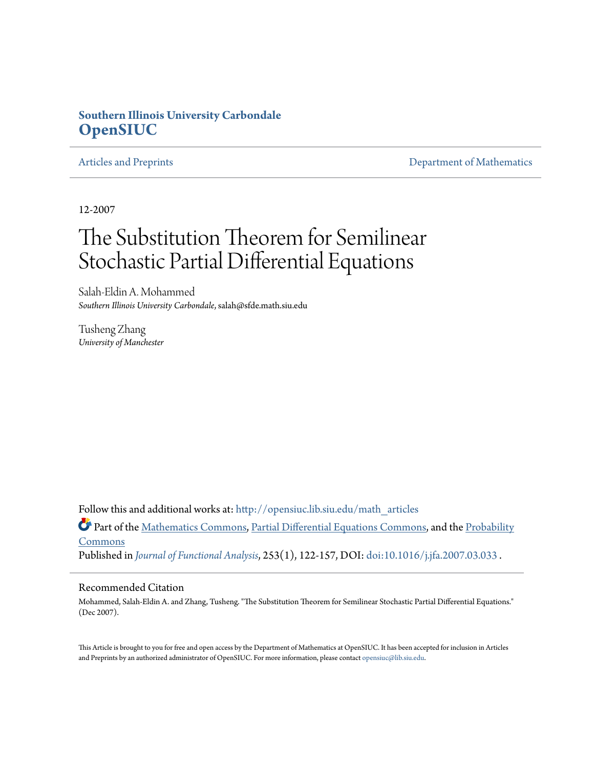# **Southern Illinois University Carbondale [OpenSIUC](http://opensiuc.lib.siu.edu?utm_source=opensiuc.lib.siu.edu%2Fmath_articles%2F61&utm_medium=PDF&utm_campaign=PDFCoverPages)**

[Articles and Preprints](http://opensiuc.lib.siu.edu/math_articles?utm_source=opensiuc.lib.siu.edu%2Fmath_articles%2F61&utm_medium=PDF&utm_campaign=PDFCoverPages) **[Department of Mathematics](http://opensiuc.lib.siu.edu/math?utm_source=opensiuc.lib.siu.edu%2Fmath_articles%2F61&utm_medium=PDF&utm_campaign=PDFCoverPages)** 

12-2007

# The Substitution Theorem for Semilinear Stochastic Partial Differential Equations

Salah-Eldin A. Mohammed *Southern Illinois University Carbondale*, salah@sfde.math.siu.edu

Tusheng Zhang *University of Manchester*

Follow this and additional works at: [http://opensiuc.lib.siu.edu/math\\_articles](http://opensiuc.lib.siu.edu/math_articles?utm_source=opensiuc.lib.siu.edu%2Fmath_articles%2F61&utm_medium=PDF&utm_campaign=PDFCoverPages)

Part of the [Mathematics Commons](http://network.bepress.com/hgg/discipline/174?utm_source=opensiuc.lib.siu.edu%2Fmath_articles%2F61&utm_medium=PDF&utm_campaign=PDFCoverPages), [Partial Differential Equations Commons](http://network.bepress.com/hgg/discipline/120?utm_source=opensiuc.lib.siu.edu%2Fmath_articles%2F61&utm_medium=PDF&utm_campaign=PDFCoverPages), and the [Probability](http://network.bepress.com/hgg/discipline/212?utm_source=opensiuc.lib.siu.edu%2Fmath_articles%2F61&utm_medium=PDF&utm_campaign=PDFCoverPages) **[Commons](http://network.bepress.com/hgg/discipline/212?utm_source=opensiuc.lib.siu.edu%2Fmath_articles%2F61&utm_medium=PDF&utm_campaign=PDFCoverPages)** Published in *[Journal of Functional Analysis](http://www.elsevier.com/wps/find/journaldescription.cws_home/622879/description#description)*, 253(1), 122-157, DOI: [doi:10.1016/j.jfa.2007.03.033](http://dx.doi.org/doi:10.1016/j.jfa.2007.03.033) .

### Recommended Citation

Mohammed, Salah-Eldin A. and Zhang, Tusheng. "The Substitution Theorem for Semilinear Stochastic Partial Differential Equations." (Dec 2007).

This Article is brought to you for free and open access by the Department of Mathematics at OpenSIUC. It has been accepted for inclusion in Articles and Preprints by an authorized administrator of OpenSIUC. For more information, please contact [opensiuc@lib.siu.edu](mailto:opensiuc@lib.siu.edu).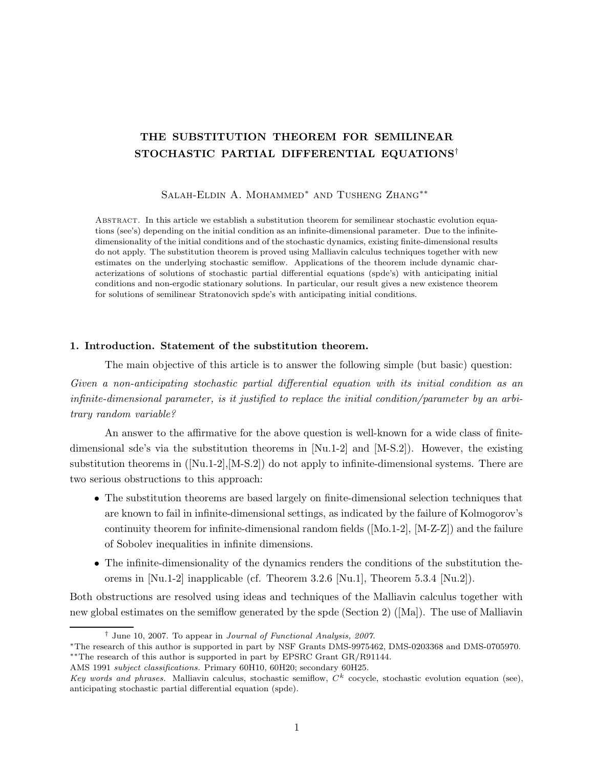## THE SUBSTITUTION THEOREM FOR SEMILINEAR STOCHASTIC PARTIAL DIFFERENTIAL EQUATIONS†

Salah-Eldin A. Mohammed∗ and Tusheng Zhang∗∗

Abstract. In this article we establish a substitution theorem for semilinear stochastic evolution equations (see's) depending on the initial condition as an infinite-dimensional parameter. Due to the infinitedimensionality of the initial conditions and of the stochastic dynamics, existing finite-dimensional results do not apply. The substitution theorem is proved using Malliavin calculus techniques together with new estimates on the underlying stochastic semiflow. Applications of the theorem include dynamic characterizations of solutions of stochastic partial differential equations (spde's) with anticipating initial conditions and non-ergodic stationary solutions. In particular, our result gives a new existence theorem for solutions of semilinear Stratonovich spde's with anticipating initial conditions.

### 1. Introduction. Statement of the substitution theorem.

The main objective of this article is to answer the following simple (but basic) question:

Given a non-anticipating stochastic partial differential equation with its initial condition as an infinite-dimensional parameter, is it justified to replace the initial condition/parameter by an arbitrary random variable?

An answer to the affirmative for the above question is well-known for a wide class of finitedimensional sde's via the substitution theorems in  $[Nu.1-2]$  and  $[M-S.2]$ ). However, the existing substitution theorems in  $([Nu.1-2],[M-S.2])$  do not apply to infinite-dimensional systems. There are two serious obstructions to this approach:

- The substitution theorems are based largely on finite-dimensional selection techniques that are known to fail in infinite-dimensional settings, as indicated by the failure of Kolmogorov's continuity theorem for infinite-dimensional random fields ([Mo.1-2], [M-Z-Z]) and the failure of Sobolev inequalities in infinite dimensions.
- The infinite-dimensionality of the dynamics renders the conditions of the substitution theorems in [Nu.1-2] inapplicable (cf. Theorem 3.2.6 [Nu.1], Theorem 5.3.4 [Nu.2]).

Both obstructions are resolved using ideas and techniques of the Malliavin calculus together with new global estimates on the semiflow generated by the spde (Section 2) ([Ma]). The use of Malliavin

<sup>†</sup> June 10, 2007. To appear in Journal of Functional Analysis, 2007.

<sup>∗</sup>The research of this author is supported in part by NSF Grants DMS-9975462, DMS-0203368 and DMS-0705970. ∗∗The research of this author is supported in part by EPSRC Grant GR/R91144.

AMS 1991 subject classifications. Primary 60H10, 60H20; secondary 60H25.

Key words and phrases. Malliavin calculus, stochastic semiflow,  $C<sup>k</sup>$  cocycle, stochastic evolution equation (see), anticipating stochastic partial differential equation (spde).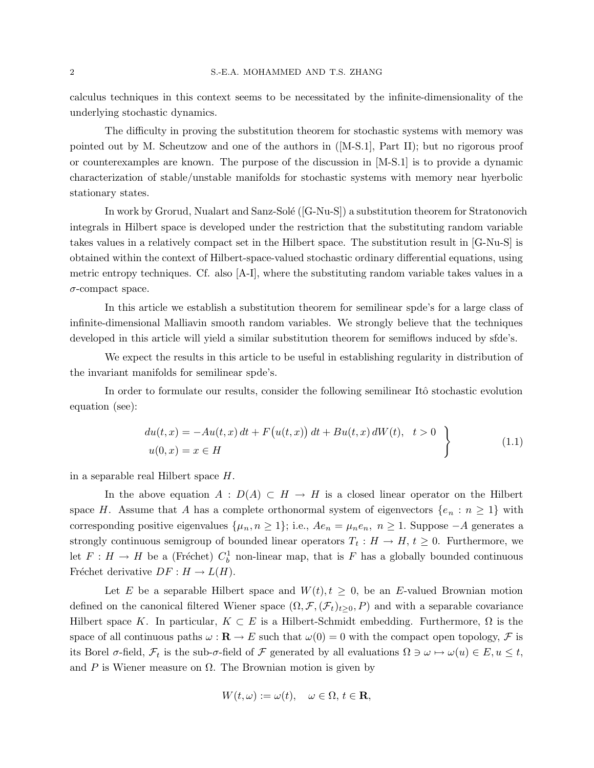calculus techniques in this context seems to be necessitated by the infinite-dimensionality of the underlying stochastic dynamics.

The difficulty in proving the substitution theorem for stochastic systems with memory was pointed out by M. Scheutzow and one of the authors in ([M-S.1], Part II); but no rigorous proof or counterexamples are known. The purpose of the discussion in [M-S.1] is to provide a dynamic characterization of stable/unstable manifolds for stochastic systems with memory near hyerbolic stationary states.

In work by Grorud, Nualart and Sanz-Solé ([G-Nu-S]) a substitution theorem for Stratonovich integrals in Hilbert space is developed under the restriction that the substituting random variable takes values in a relatively compact set in the Hilbert space. The substitution result in [G-Nu-S] is obtained within the context of Hilbert-space-valued stochastic ordinary differential equations, using metric entropy techniques. Cf. also [A-I], where the substituting random variable takes values in a σ-compact space.

In this article we establish a substitution theorem for semilinear spde's for a large class of infinite-dimensional Malliavin smooth random variables. We strongly believe that the techniques developed in this article will yield a similar substitution theorem for semiflows induced by sfde's.

We expect the results in this article to be useful in establishing regularity in distribution of the invariant manifolds for semilinear spde's.

In order to formulate our results, consider the following semilinear Itô stochastic evolution equation (see):

$$
du(t,x) = -Au(t,x) dt + F(u(t,x)) dt + Bu(t,x) dW(t), \quad t > 0
$$
  
 
$$
u(0,x) = x \in H
$$
 (1.1)

in a separable real Hilbert space H.

In the above equation  $A : D(A) \subset H \to H$  is a closed linear operator on the Hilbert space H. Assume that A has a complete orthonormal system of eigenvectors  $\{e_n : n \geq 1\}$  with corresponding positive eigenvalues  $\{\mu_n, n \geq 1\}$ ; i.e.,  $Ae_n = \mu_n e_n$ ,  $n \geq 1$ . Suppose  $-A$  generates a strongly continuous semigroup of bounded linear operators  $T_t: H \to H$ ,  $t \geq 0$ . Furthermore, we let  $F: H \to H$  be a (Fréchet)  $C_b^1$  non-linear map, that is F has a globally bounded continuous Fréchet derivative  $DF : H \to L(H)$ .

Let E be a separable Hilbert space and  $W(t)$ ,  $t \geq 0$ , be an E-valued Brownian motion defined on the canonical filtered Wiener space  $(\Omega, \mathcal{F}, (\mathcal{F}_t)_{t>0}, P)$  and with a separable covariance Hilbert space K. In particular,  $K \subset E$  is a Hilbert-Schmidt embedding. Furthermore,  $\Omega$  is the space of all continuous paths  $\omega : \mathbf{R} \to E$  such that  $\omega(0) = 0$  with the compact open topology,  $\mathcal F$  is its Borel  $\sigma$ -field,  $\mathcal{F}_t$  is the sub- $\sigma$ -field of  $\mathcal F$  generated by all evaluations  $\Omega \ni \omega \mapsto \omega(u) \in E, u \leq t$ , and P is Wiener measure on  $\Omega$ . The Brownian motion is given by

$$
W(t,\omega) := \omega(t), \quad \omega \in \Omega, \, t \in \mathbf{R},
$$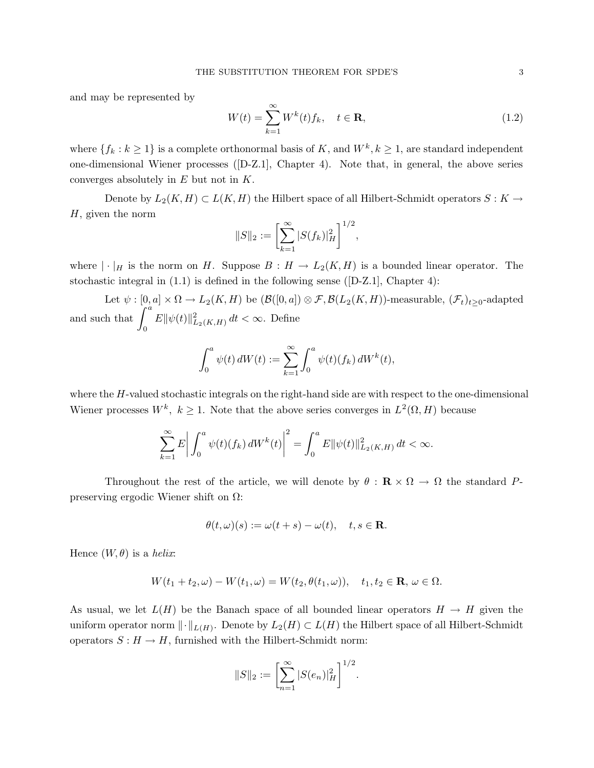and may be represented by

$$
W(t) = \sum_{k=1}^{\infty} W^k(t) f_k, \quad t \in \mathbf{R},
$$
\n(1.2)

where  $\{f_k : k \geq 1\}$  is a complete orthonormal basis of K, and  $W^k, k \geq 1$ , are standard independent one-dimensional Wiener processes ([D-Z.1], Chapter 4). Note that, in general, the above series converges absolutely in  $E$  but not in  $K$ .

Denote by  $L_2(K, H) \subset L(K, H)$  the Hilbert space of all Hilbert-Schmidt operators  $S: K \to$ H, given the norm

$$
||S||_2 := \left[\sum_{k=1}^{\infty} |S(f_k)|_H^2\right]^{1/2},
$$

where  $|\cdot|_H$  is the norm on H. Suppose  $B: H \to L_2(K, H)$  is a bounded linear operator. The stochastic integral in (1.1) is defined in the following sense ([D-Z.1], Chapter 4):

Let  $\psi : [0, a] \times \Omega \to L_2(K, H)$  be  $(\mathcal{B}([0, a]) \otimes \mathcal{F}, \mathcal{B}(L_2(K, H))$ -measurable,  $(\mathcal{F}_t)_{t \geq 0}$ -adapted and such that  $\int_a^a$  $\mathbf{0}$  $E\|\psi(t)\|_{L_2(K,H)}^2 dt < \infty$ . Define

$$
\int_0^a \psi(t) dW(t) := \sum_{k=1}^{\infty} \int_0^a \psi(t) (f_k) dW^k(t),
$$

where the H-valued stochastic integrals on the right-hand side are with respect to the one-dimensional Wiener processes  $W^k$ ,  $k \geq 1$ . Note that the above series converges in  $L^2(\Omega, H)$  because

$$
\sum_{k=1}^{\infty} E \left| \int_0^a \psi(t) (f_k) dW^k(t) \right|^2 = \int_0^a E ||\psi(t)||^2_{L_2(K,H)} dt < \infty.
$$

Throughout the rest of the article, we will denote by  $\theta : \mathbf{R} \times \Omega \to \Omega$  the standard Ppreserving ergodic Wiener shift on Ω:

$$
\theta(t,\omega)(s) := \omega(t+s) - \omega(t), \quad t, s \in \mathbf{R}.
$$

Hence  $(W, \theta)$  is a helix:

$$
W(t_1+t_2,\omega)-W(t_1,\omega)=W(t_2,\theta(t_1,\omega)),\quad t_1,t_2\in\mathbf{R},\,\omega\in\Omega.
$$

As usual, we let  $L(H)$  be the Banach space of all bounded linear operators  $H \to H$  given the uniform operator norm  $\lVert \cdot \rVert_{L(H)}$ . Denote by  $L_2(H) \subset L(H)$  the Hilbert space of all Hilbert-Schmidt operators  $S : H \to H$ , furnished with the Hilbert-Schmidt norm:

$$
||S||_2 := \left[\sum_{n=1}^{\infty} |S(e_n)|_H^2\right]^{1/2}
$$

.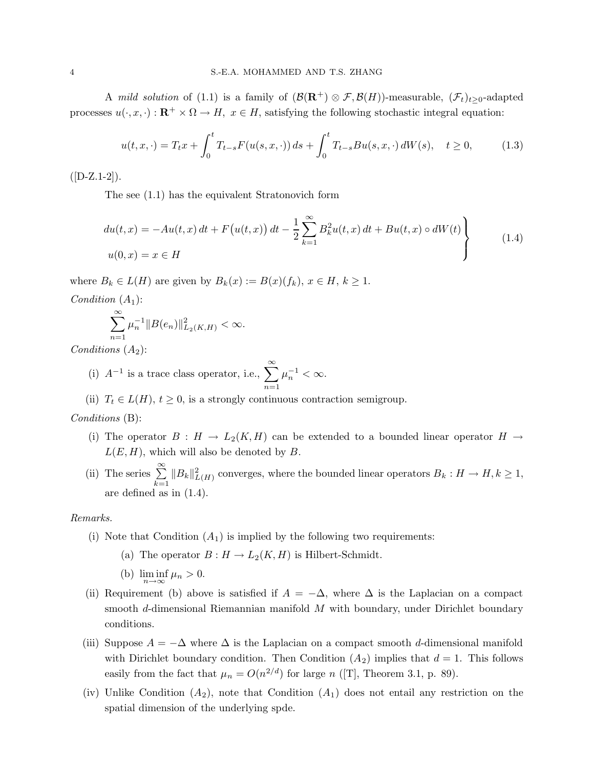A mild solution of (1.1) is a family of  $(\mathcal{B}(\mathbf{R}^+) \otimes \mathcal{F}, \mathcal{B}(H))$ -measurable,  $(\mathcal{F}_t)_{t>0}$ -adapted processes  $u(\cdot, x, \cdot): \mathbb{R}^+ \times \Omega \to H$ ,  $x \in H$ , satisfying the following stochastic integral equation:

$$
u(t, x, \cdot) = T_t x + \int_0^t T_{t-s} F(u(s, x, \cdot)) ds + \int_0^t T_{t-s} B u(s, x, \cdot) dW(s), \quad t \ge 0,
$$
 (1.3)

 $([D-Z.1-2]).$ 

The see (1.1) has the equivalent Stratonovich form

$$
du(t,x) = -Au(t,x) dt + F(u(t,x)) dt - \frac{1}{2} \sum_{k=1}^{\infty} B_k^2 u(t,x) dt + Bu(t,x) \circ dW(t)
$$
  

$$
u(0,x) = x \in H
$$
 (1.4)

where  $B_k \in L(H)$  are given by  $B_k(x) := B(x)(f_k)$ ,  $x \in H$ ,  $k \geq 1$ . *Condition*  $(A_1)$ :

$$
\sum_{n=1}^{\infty} \mu_n^{-1} \|B(e_n)\|_{L_2(K,H)}^2 < \infty.
$$

Conditions  $(A_2)$ :

(i)  $A^{-1}$  is a trace class operator, i.e.,  $\sum_{n=1}^{\infty}$  $n=1$  $\mu_n^{-1} < \infty.$ 

(ii)  $T_t \in L(H)$ ,  $t \geq 0$ , is a strongly continuous contraction semigroup.

#### Conditions (B):

- (i) The operator  $B : H \to L_2(K, H)$  can be extended to a bounded linear operator  $H \to$  $L(E, H)$ , which will also be denoted by B.
- (ii) The series  $\sum_{n=1}^{\infty}$  $k=1$  $||B_k||_{L(H)}^2$  converges, where the bounded linear operators  $B_k : H \to H, k \geq 1$ , are defined as in (1.4).

#### Remarks.

- (i) Note that Condition  $(A_1)$  is implied by the following two requirements:
	- (a) The operator  $B: H \to L_2(K, H)$  is Hilbert-Schmidt.
	- (b)  $\liminf_{n \to \infty} \mu_n > 0.$
- (ii) Requirement (b) above is satisfied if  $A = -\Delta$ , where  $\Delta$  is the Laplacian on a compact smooth d-dimensional Riemannian manifold  $M$  with boundary, under Dirichlet boundary conditions.
- (iii) Suppose  $A = -\Delta$  where  $\Delta$  is the Laplacian on a compact smooth d-dimensional manifold with Dirichlet boundary condition. Then Condition  $(A_2)$  implies that  $d = 1$ . This follows easily from the fact that  $\mu_n = O(n^{2/d})$  for large n ([T], Theorem 3.1, p. 89).
- (iv) Unlike Condition  $(A_2)$ , note that Condition  $(A_1)$  does not entail any restriction on the spatial dimension of the underlying spde.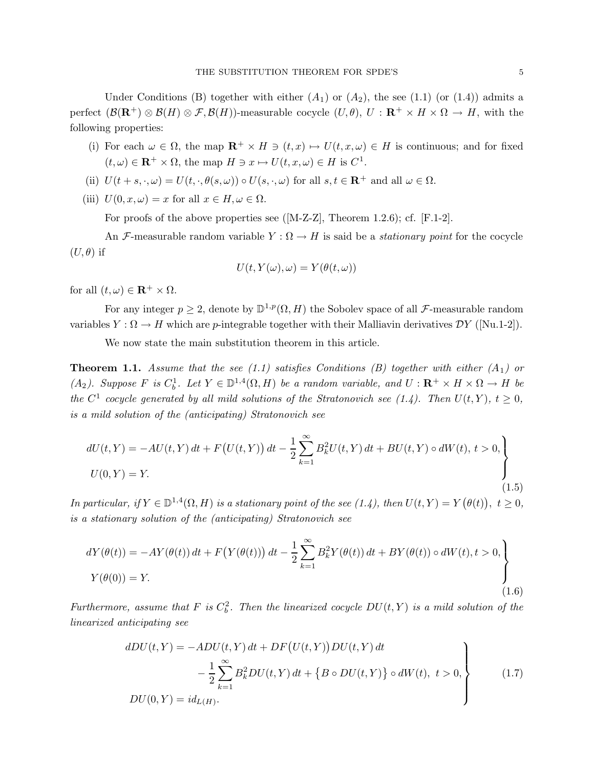Under Conditions (B) together with either  $(A_1)$  or  $(A_2)$ , the see (1.1) (or (1.4)) admits a perfect  $(\mathcal{B}(\mathbf{R}^+) \otimes \mathcal{B}(H) \otimes \mathcal{F}, \mathcal{B}(H))$ -measurable cocycle  $(U, \theta)$ ,  $U : \mathbf{R}^+ \times H \times \Omega \to H$ , with the following properties:

- (i) For each  $\omega \in \Omega$ , the map  $\mathbb{R}^+ \times H \ni (t, x) \mapsto U(t, x, \omega) \in H$  is continuous; and for fixed  $(t,\omega) \in \mathbf{R}^+ \times \Omega$ , the map  $H \ni x \mapsto U(t,x,\omega) \in H$  is  $C^1$ .
- (ii)  $U(t + s, \cdot, \omega) = U(t, \cdot, \theta(s, \omega)) \circ U(s, \cdot, \omega)$  for all  $s, t \in \mathbb{R}^+$  and all  $\omega \in \Omega$ .
- (iii)  $U(0, x, \omega) = x$  for all  $x \in H, \omega \in \Omega$ .

For proofs of the above properties see ([M-Z-Z], Theorem 1.2.6); cf. [F.1-2].

An F-measurable random variable  $Y : \Omega \to H$  is said be a *stationary point* for the cocycle  $(U, \theta)$  if

$$
U(t, Y(\omega), \omega) = Y(\theta(t, \omega))
$$

for all  $(t, \omega) \in \mathbf{R}^+ \times \Omega$ .

For any integer  $p \geq 2$ , denote by  $\mathbb{D}^{1,p}(\Omega, H)$  the Sobolev space of all *F*-measurable random variables  $Y : \Omega \to H$  which are p-integrable together with their Malliavin derivatives  $\mathcal{D}Y$  ([Nu.1-2]).

We now state the main substitution theorem in this article.

**Theorem 1.1.** Assume that the see (1.1) satisfies Conditions (B) together with either (A<sub>1</sub>) or (A<sub>2</sub>). Suppose F is  $C_b^1$ . Let  $Y \in \mathbb{D}^{1,4}(\Omega, H)$  be a random variable, and  $U : \mathbf{R}^+ \times H \times \Omega \to H$  be the  $C^1$  cocycle generated by all mild solutions of the Stratonovich see (1.4). Then  $U(t, Y)$ ,  $t \geq 0$ , is a mild solution of the (anticipating) Stratonovich see

$$
dU(t,Y) = -AU(t,Y) dt + F(U(t,Y)) dt - \frac{1}{2} \sum_{k=1}^{\infty} B_k^2 U(t,Y) dt + BU(t,Y) \circ dW(t), t > 0,
$$
  

$$
U(0,Y) = Y.
$$
 (1.5)

In particular, if  $Y \in \mathbb{D}^{1,4}(\Omega, H)$  is a stationary point of the see (1.4), then  $U(t, Y) = Y(\theta(t))$ ,  $t \ge 0$ , is a stationary solution of the (anticipating) Stratonovich see

$$
dY(\theta(t)) = -AY(\theta(t)) dt + F(Y(\theta(t))) dt - \frac{1}{2} \sum_{k=1}^{\infty} B_k^2 Y(\theta(t)) dt + BY(\theta(t)) \circ dW(t), t > 0,
$$
  
\n
$$
Y(\theta(0)) = Y.
$$
\n(1.6)

Furthermore, assume that F is  $C_b^2$ . Then the linearized cocycle  $DU(t, Y)$  is a mild solution of the linearized anticipating see

$$
dDU(t, Y) = -ADU(t, Y) dt + DF(U(t, Y))DU(t, Y) dt
$$
  

$$
- \frac{1}{2} \sum_{k=1}^{\infty} B_k^2 DU(t, Y) dt + \{B \circ DU(t, Y)\} \circ dW(t), t > 0,
$$
  

$$
DU(0, Y) = id_{L(H)}.
$$
 (1.7)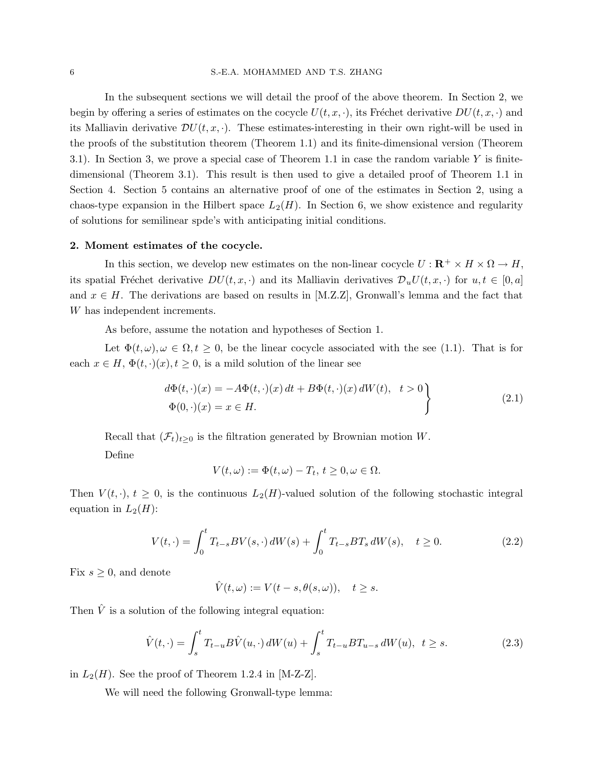#### 6 S.-E.A. MOHAMMED AND T.S. ZHANG

In the subsequent sections we will detail the proof of the above theorem. In Section 2, we begin by offering a series of estimates on the cocycle  $U(t, x, \cdot)$ , its Fréchet derivative  $DU(t, x, \cdot)$  and its Malliavin derivative  $DU(t, x, \cdot)$ . These estimates-interesting in their own right-will be used in the proofs of the substitution theorem (Theorem 1.1) and its finite-dimensional version (Theorem 3.1). In Section 3, we prove a special case of Theorem 1.1 in case the random variable  $Y$  is finitedimensional (Theorem 3.1). This result is then used to give a detailed proof of Theorem 1.1 in Section 4. Section 5 contains an alternative proof of one of the estimates in Section 2, using a chaos-type expansion in the Hilbert space  $L_2(H)$ . In Section 6, we show existence and regularity of solutions for semilinear spde's with anticipating initial conditions.

#### 2. Moment estimates of the cocycle.

In this section, we develop new estimates on the non-linear cocycle  $U : \mathbf{R}^+ \times H \times \Omega \to H$ , its spatial Fréchet derivative  $DU(t, x, \cdot)$  and its Malliavin derivatives  $\mathcal{D}_u U(t, x, \cdot)$  for  $u, t \in [0, a]$ and  $x \in H$ . The derivations are based on results in [M.Z.Z], Gronwall's lemma and the fact that W has independent increments.

As before, assume the notation and hypotheses of Section 1.

Let  $\Phi(t,\omega), \omega \in \Omega, t \geq 0$ , be the linear cocycle associated with the see (1.1). That is for each  $x \in H$ ,  $\Phi(t, \cdot)(x)$ ,  $t \geq 0$ , is a mild solution of the linear see

$$
d\Phi(t, \cdot)(x) = -A\Phi(t, \cdot)(x) dt + B\Phi(t, \cdot)(x) dW(t), \quad t > 0
$$
  

$$
\Phi(0, \cdot)(x) = x \in H.
$$
 (2.1)

Recall that  $(\mathcal{F}_t)_{t>0}$  is the filtration generated by Brownian motion W.

Define

$$
V(t,\omega) := \Phi(t,\omega) - T_t, t \ge 0, \omega \in \Omega.
$$

Then  $V(t, \cdot)$ ,  $t \geq 0$ , is the continuous  $L_2(H)$ -valued solution of the following stochastic integral equation in  $L_2(H)$ :

$$
V(t, \cdot) = \int_0^t T_{t-s} BV(s, \cdot) dW(s) + \int_0^t T_{t-s} BT_s dW(s), \quad t \ge 0.
$$
 (2.2)

Fix  $s \geq 0$ , and denote

$$
\hat{V}(t,\omega) := V(t-s,\theta(s,\omega)), \quad t \ge s.
$$

Then  $\hat{V}$  is a solution of the following integral equation:

$$
\hat{V}(t,\cdot) = \int_{s}^{t} T_{t-u} B\hat{V}(u,\cdot) dW(u) + \int_{s}^{t} T_{t-u} B T_{u-s} dW(u), \ \ t \ge s. \tag{2.3}
$$

in  $L_2(H)$ . See the proof of Theorem 1.2.4 in [M-Z-Z].

We will need the following Gronwall-type lemma: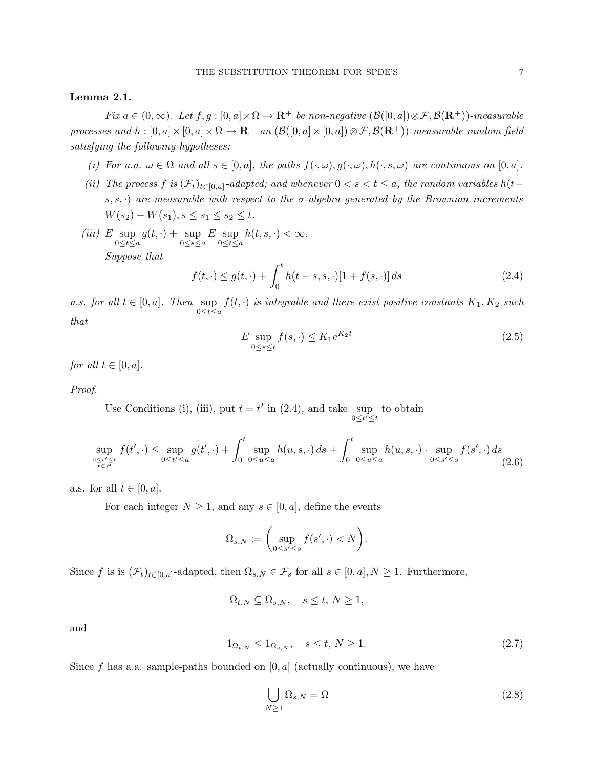#### Lemma 2.1.

Fix  $a \in (0,\infty)$ . Let  $f, g : [0, a] \times \Omega \to \mathbb{R}^+$  be non-negative  $(\mathcal{B}([0, a]) \otimes \mathcal{F}, \mathcal{B}(\mathbb{R}^+))$ -measurable processes and  $h:[0, a] \times [0, a] \times \Omega \to \mathbf{R}^+$  an  $(\mathcal{B}([0, a] \times [0, a]) \otimes \mathcal{F}, \mathcal{B}(\mathbf{R}^+))$ -measurable random field satisfying the following hypotheses:

- (i) For a.a.  $\omega \in \Omega$  and all  $s \in [0, a]$ , the paths  $f(\cdot, \omega), g(\cdot, \omega), h(\cdot, s, \omega)$  are continuous on  $[0, a]$ .
- (ii) The process f is  $(\mathcal{F}_t)_{t\in[0,a]}$ -adapted; and whenever  $0 < s < t \le a$ , the random variables  $h(t-t)$ s, s,  $\cdot$ ) are measurable with respect to the  $\sigma$ -algebra generated by the Brownian increments  $W(s_2) - W(s_1), s \leq s_1 \leq s_2 \leq t.$
- $(iii)$  E sup  $0 \leq t \leq a$  $g(t, \cdot) + \sup$  $0 \leq s \leq a$  $E$  sup  $0 \leq t \leq a$  $h(t, s, \cdot) < \infty$ . Suppose that

$$
f(t, \cdot) \le g(t, \cdot) + \int_0^t h(t - s, s, \cdot) [1 + f(s, \cdot)] ds
$$
 (2.4)

a.s. for all  $t \in [0, a]$ . Then sup  $\sup_{0 \leq t \leq a} f(t, \cdot)$  is integrable and there exist positive constants  $K_1, K_2$  such that

$$
E \sup_{0 \le s \le t} f(s, \cdot) \le K_1 e^{K_2 t} \tag{2.5}
$$

for all  $t \in [0, a]$ .

Proof.

Use Conditions (i), (iii), put  $t = t'$  in (2.4), and take sup to obtain  $0 \leq t' \leq t$ 

$$
\sup_{\substack{0 \le t' \le t \\ x \in H}} f(t', \cdot) \le \sup_{0 \le t' \le a} g(t', \cdot) + \int_0^t \sup_{0 \le u \le a} h(u, s, \cdot) ds + \int_0^t \sup_{0 \le u \le a} h(u, s, \cdot) \cdot \sup_{0 \le s' \le s} f(s', \cdot) ds
$$
\n(2.6)

a.s. for all  $t \in [0, a]$ .

For each integer  $N \geq 1$ , and any  $s \in [0, a]$ , define the events

$$
\Omega_{s,N} := \bigg(\sup_{0 \le s' \le s} f(s', \cdot) < N\bigg).
$$

Since f is is  $(\mathcal{F}_t)_{t\in[0,a]}$ -adapted, then  $\Omega_{s,N}\in\mathcal{F}_s$  for all  $s\in[0,a],N\geq 1$ . Furthermore,

$$
\Omega_{t,N}\subseteq \Omega_{s,N}, \quad s\leq t, \, N\geq 1,
$$

and

$$
1_{\Omega_{t,N}} \le 1_{\Omega_{s,N}}, \quad s \le t, N \ge 1. \tag{2.7}
$$

Since f has a.a. sample-paths bounded on  $[0, a]$  (actually continuous), we have

$$
\bigcup_{N\geq 1} \Omega_{s,N} = \Omega \tag{2.8}
$$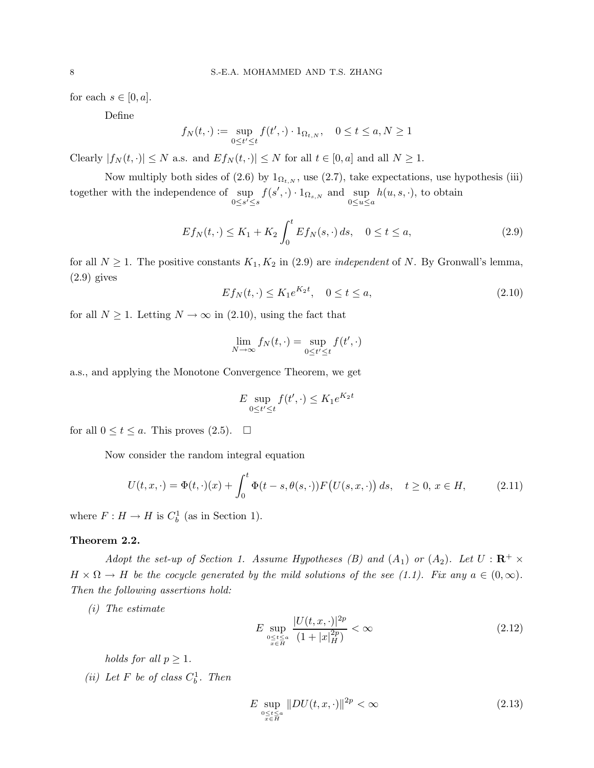for each  $s \in [0, a]$ .

Define

$$
f_N(t, \cdot) := \sup_{0 \le t' \le t} f(t', \cdot) \cdot 1_{\Omega_{t,N}}, \quad 0 \le t \le a, N \ge 1
$$

Clearly  $|f_N(t, \cdot)| \leq N$  a.s. and  $Ef_N(t, \cdot)| \leq N$  for all  $t \in [0, a]$  and all  $N \geq 1$ .

Now multiply both sides of (2.6) by  $1_{\Omega_{t,N}}$ , use (2.7), take expectations, use hypothesis (iii) together with the independence of sup  $0 \leq s' \leq s$  $f(s', \cdot) \cdot 1_{\Omega_{s,N}}$  and  $\sup_{0 \le u \le a}$  $h(u, s, \cdot)$ , to obtain

$$
E f_N(t, \cdot) \le K_1 + K_2 \int_0^t E f_N(s, \cdot) ds, \quad 0 \le t \le a,
$$
 (2.9)

for all  $N \geq 1$ . The positive constants  $K_1, K_2$  in (2.9) are *independent* of N. By Gronwall's lemma,  $(2.9)$  gives

$$
Ef_N(t, \cdot) \le K_1 e^{K_2 t}, \quad 0 \le t \le a,\tag{2.10}
$$

for all  $N \geq 1$ . Letting  $N \to \infty$  in (2.10), using the fact that

$$
\lim_{N \to \infty} f_N(t, \cdot) = \sup_{0 \le t' \le t} f(t', \cdot)
$$

a.s., and applying the Monotone Convergence Theorem, we get

$$
E \sup_{0 \le t' \le t} f(t', \cdot) \le K_1 e^{K_2 t}
$$

for all  $0 \le t \le a$ . This proves  $(2.5)$ .  $\Box$ 

Now consider the random integral equation

$$
U(t, x, \cdot) = \Phi(t, \cdot)(x) + \int_0^t \Phi(t - s, \theta(s, \cdot)) F\big(U(s, x, \cdot)\big) ds, \quad t \ge 0, \, x \in H,\tag{2.11}
$$

where  $F: H \to H$  is  $C_b^1$  (as in Section 1).

#### Theorem 2.2.

Adopt the set-up of Section 1. Assume Hypotheses (B) and  $(A_1)$  or  $(A_2)$ . Let  $U : \mathbb{R}^+ \times$  $H \times \Omega \to H$  be the cocycle generated by the mild solutions of the see (1.1). Fix any  $a \in (0,\infty)$ . Then the following assertions hold:

(i) The estimate

$$
E \sup_{\substack{0 \le t \le a \\ x \in H}} \frac{|U(t, x, \cdot)|^{2p}}{(1 + |x|_{H}^{2p})} < \infty \tag{2.12}
$$

holds for all  $p \geq 1$ .

(*ii*) Let F be of class  $C_b^1$ . Then

$$
E \sup_{\substack{0 \le t \le a \\ x \in H}} \|DU(t, x, \cdot)\|^{2p} < \infty \tag{2.13}
$$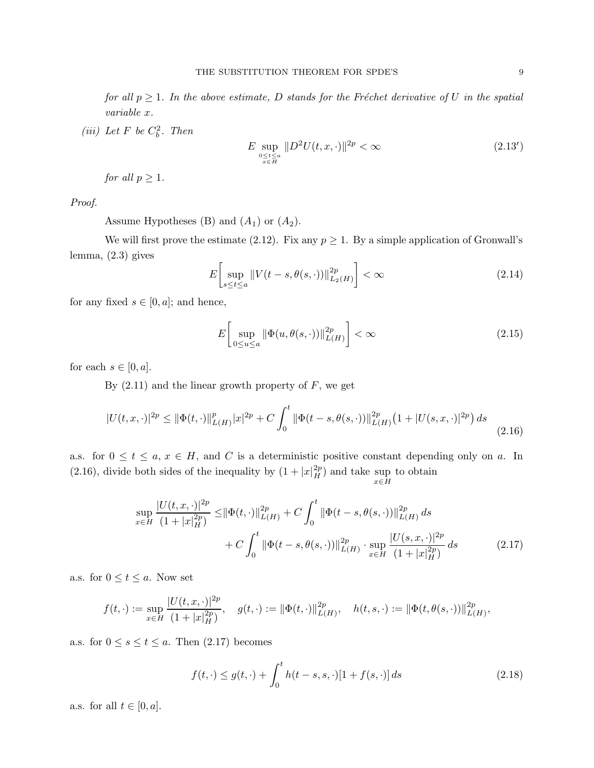for all  $p \geq 1$ . In the above estimate, D stands for the Fréchet derivative of U in the spatial variable x.

(iii) Let F be  $C_b^2$ . Then

$$
E \sup_{\substack{0 \le t \le a \\ x \in H}} \| D^2 U(t, x, \cdot) \|^2 p < \infty \tag{2.13'}
$$

for all  $p \geq 1$ .

Proof.

Assume Hypotheses (B) and  $(A_1)$  or  $(A_2)$ .

We will first prove the estimate (2.12). Fix any  $p \geq 1$ . By a simple application of Gronwall's lemma, (2.3) gives

$$
E\left[\sup_{s\leq t\leq a} \|V(t-s,\theta(s,\cdot))\|_{L_2(H)}^{2p}\right] < \infty \tag{2.14}
$$

for any fixed  $s \in [0, a]$ ; and hence,

$$
E\left[\sup_{0\leq u\leq a} \|\Phi(u,\theta(s,\cdot))\|_{L(H)}^{2p}\right] < \infty\tag{2.15}
$$

for each  $s \in [0, a]$ .

By  $(2.11)$  and the linear growth property of F, we get

$$
|U(t,x,\cdot)|^{2p} \le ||\Phi(t,\cdot)||_{L(H)}^p |x|^{2p} + C \int_0^t ||\Phi(t-s,\theta(s,\cdot))||_{L(H)}^{2p} \left(1 + |U(s,x,\cdot)|^{2p}\right) ds \tag{2.16}
$$

a.s. for  $0 \le t \le a, x \in H$ , and C is a deterministic positive constant depending only on a. In (2.16), divide both sides of the inequality by  $(1+|x|_H^{2p})$  and take sup  $x \in H$ to obtain

$$
\sup_{x \in H} \frac{|U(t, x, \cdot)|^{2p}}{(1 + |x|_{H}^{2p})} \le ||\Phi(t, \cdot)||_{L(H)}^{2p} + C \int_{0}^{t} ||\Phi(t - s, \theta(s, \cdot))||_{L(H)}^{2p} ds + C \int_{0}^{t} ||\Phi(t - s, \theta(s, \cdot))||_{L(H)}^{2p} \cdot \sup_{x \in H} \frac{|U(s, x, \cdot)|^{2p}}{(1 + |x|_{H}^{2p})} ds
$$
(2.17)

a.s. for  $0 \le t \le a$ . Now set

$$
f(t,\cdot):=\sup_{x\in H}\frac{|U(t,x,\cdot)|^{2p}}{(1+|x|_{H}^{2p})},\quad g(t,\cdot):=\|\Phi(t,\cdot)\|_{L(H)}^{2p},\quad h(t,s,\cdot):=\|\Phi(t,\theta(s,\cdot))\|_{L(H)}^{2p},
$$

a.s. for  $0 \leq s \leq t \leq a$ . Then  $(2.17)$  becomes

$$
f(t, \cdot) \le g(t, \cdot) + \int_0^t h(t - s, s, \cdot)[1 + f(s, \cdot)] ds
$$
 (2.18)

a.s. for all  $t \in [0, a]$ .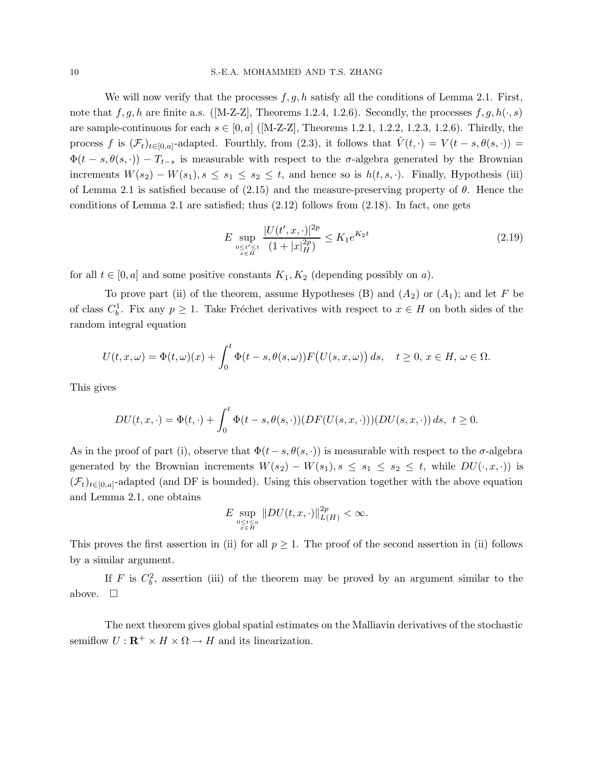We will now verify that the processes  $f, g, h$  satisfy all the conditions of Lemma 2.1. First, note that f, g, h are finite a.s. ([M-Z-Z], Theorems 1.2.4, 1.2.6). Secondly, the processes f, g,  $h(\cdot, s)$ are sample-continuous for each  $s \in [0, a]$  ([M-Z-Z], Theorems 1.2.1, 1.2.2, 1.2.3, 1.2.6). Thirdly, the process f is  $(\mathcal{F}_t)_{t\in[0,a]}$ -adapted. Fourthly, from  $(2.3)$ , it follows that  $\hat{V}(t,\cdot)=V(t-s,\theta(s,\cdot))=$  $\Phi(t - s, \theta(s, \cdot)) - T_{t-s}$  is measurable with respect to the  $\sigma$ -algebra generated by the Brownian increments  $W(s_2) - W(s_1), s \leq s_1 \leq s_2 \leq t$ , and hence so is  $h(t, s, \cdot)$ . Finally, Hypothesis (iii) of Lemma 2.1 is satisfied because of  $(2.15)$  and the measure-preserving property of  $\theta$ . Hence the conditions of Lemma 2.1 are satisfied; thus (2.12) follows from (2.18). In fact, one gets

$$
E \sup_{\substack{0 \le t' \le t \\ x \in H}} \frac{|U(t', x, \cdot)|^{2p}}{(1 + |x|_{H}^{2p})} \le K_1 e^{K_2 t} \tag{2.19}
$$

for all  $t \in [0, a]$  and some positive constants  $K_1, K_2$  (depending possibly on a).

To prove part (ii) of the theorem, assume Hypotheses (B) and  $(A_2)$  or  $(A_1)$ ; and let F be of class  $C_b^1$ . Fix any  $p \geq 1$ . Take Fréchet derivatives with respect to  $x \in H$  on both sides of the random integral equation

$$
U(t, x, \omega) = \Phi(t, \omega)(x) + \int_0^t \Phi(t - s, \theta(s, \omega)) F\big(U(s, x, \omega)\big) ds, \quad t \ge 0, \, x \in H, \, \omega \in \Omega.
$$

This gives

$$
DU(t, x, \cdot) = \Phi(t, \cdot) + \int_0^t \Phi(t - s, \theta(s, \cdot))(DF(U(s, x, \cdot)))(DU(s, x, \cdot)) ds, \ t \ge 0.
$$

As in the proof of part (i), observe that  $\Phi(t-s,\theta(s,\cdot))$  is measurable with respect to the  $\sigma$ -algebra generated by the Brownian increments  $W(s_2) - W(s_1), s \leq s_1 \leq s_2 \leq t$ , while  $DU(\cdot, x, \cdot)$  is  $(\mathcal{F}_t)_{t\in[0,a]}$ -adapted (and DF is bounded). Using this observation together with the above equation and Lemma 2.1, one obtains

$$
E\sup_{\substack{0\leq t\leq a\\x\in H}}\|DU(t,x,\cdot)\|_{L(H)}^{2p}<\infty.
$$

This proves the first assertion in (ii) for all  $p \geq 1$ . The proof of the second assertion in (ii) follows by a similar argument.

If F is  $C_b^2$ , assertion (iii) of the theorem may be proved by an argument similar to the above.  $\square$ 

The next theorem gives global spatial estimates on the Malliavin derivatives of the stochastic semiflow  $U: \mathbf{R}^+ \times H \times \Omega \to H$  and its linearization.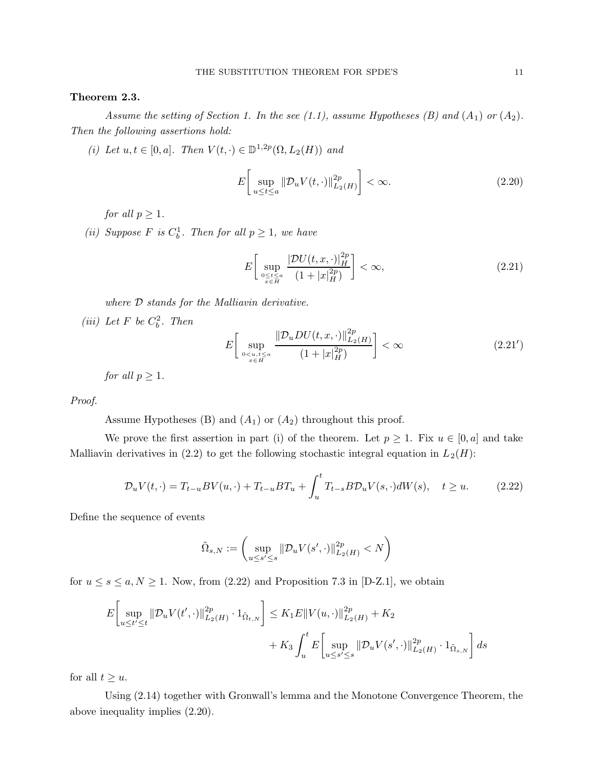#### Theorem 2.3.

Assume the setting of Section 1. In the see (1.1), assume Hypotheses (B) and  $(A_1)$  or  $(A_2)$ . Then the following assertions hold:

(i) Let  $u, t \in [0, a]$ . Then  $V(t, \cdot) \in \mathbb{D}^{1,2p}(\Omega, L_2(H))$  and

$$
E\left[\sup_{u\leq t\leq a} \|\mathcal{D}_u V(t,\cdot)\|_{L_2(H)}^{2p}\right] < \infty. \tag{2.20}
$$

for all  $p > 1$ .

(ii) Suppose F is  $C_b^1$ . Then for all  $p \geq 1$ , we have

$$
E\left[\sup_{\substack{0\leq t\leq a\\x\in H}}\frac{|\mathcal{D}U(t,x,\cdot)|_H^{2p}}{(1+|x|_H^{2p})}\right]<\infty,
$$
\n(2.21)

where  $D$  stands for the Malliavin derivative.

(iii) Let F be  $C_b^2$ . Then

$$
E\left[\sup_{\substack{0\n(2.21')
$$

for all  $p \geq 1$ .

Proof.

Assume Hypotheses (B) and  $(A_1)$  or  $(A_2)$  throughout this proof.

We prove the first assertion in part (i) of the theorem. Let  $p \geq 1$ . Fix  $u \in [0, a]$  and take Malliavin derivatives in (2.2) to get the following stochastic integral equation in  $L_2(H)$ :

$$
\mathcal{D}_u V(t, \cdot) = T_{t-u} BV(u, \cdot) + T_{t-u} BT_u + \int_u^t T_{t-s} B \mathcal{D}_u V(s, \cdot) dW(s), \quad t \ge u. \tag{2.22}
$$

Define the sequence of events

$$
\tilde{\Omega}_{s,N} := \left(\sup_{u \le s' \le s} \|\mathcal{D}_u V(s',\cdot)\|_{L_2(H)}^{2p} < N\right)
$$

for  $u \leq s \leq a, N \geq 1$ . Now, from (2.22) and Proposition 7.3 in [D-Z.1], we obtain

$$
E\left[\sup_{u\leq t'\leq t} \|\mathcal{D}_u V(t',\cdot)\|_{L_2(H)}^{2p} \cdot 1_{\tilde{\Omega}_{t,N}}\right] \leq K_1 E \|V(u,\cdot)\|_{L_2(H)}^{2p} + K_2 + K_3 \int_u^t E\left[\sup_{u\leq s'\leq s} \|\mathcal{D}_u V(s',\cdot)\|_{L_2(H)}^{2p} \cdot 1_{\tilde{\Omega}_{s,N}}\right] ds
$$

for all  $t \geq u$ .

Using (2.14) together with Gronwall's lemma and the Monotone Convergence Theorem, the above inequality implies (2.20).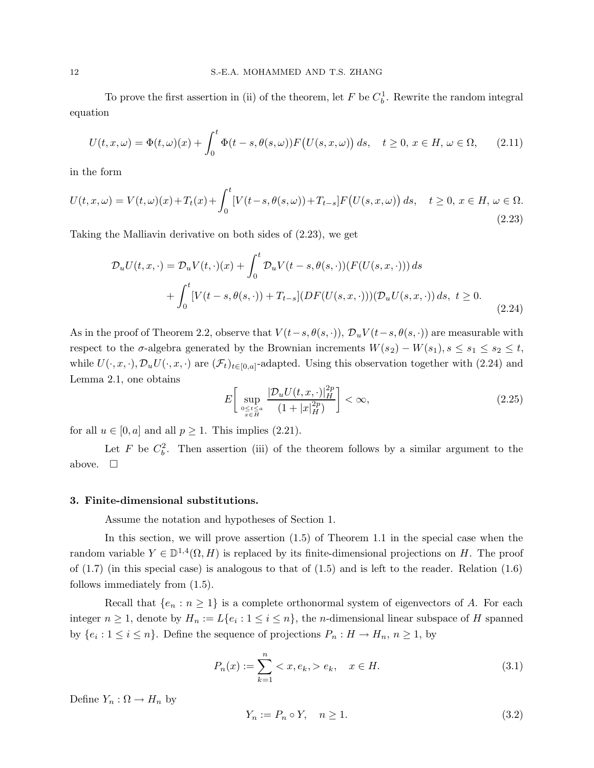To prove the first assertion in (ii) of the theorem, let  $F$  be  $C_b^1$ . Rewrite the random integral equation

$$
U(t, x, \omega) = \Phi(t, \omega)(x) + \int_0^t \Phi(t - s, \theta(s, \omega)) F\big(U(s, x, \omega)\big) ds, \quad t \ge 0, x \in H, \omega \in \Omega,
$$
 (2.11)

in the form

$$
U(t, x, \omega) = V(t, \omega)(x) + T_t(x) + \int_0^t \left[ V(t - s, \theta(s, \omega)) + T_{t - s} \right] F\left( U(s, x, \omega) \right) ds, \quad t \ge 0, \ x \in H, \ \omega \in \Omega.
$$
\n
$$
(2.23)
$$

Taking the Malliavin derivative on both sides of (2.23), we get

$$
\mathcal{D}_{u}U(t,x,\cdot) = \mathcal{D}_{u}V(t,\cdot)(x) + \int_{0}^{t} \mathcal{D}_{u}V(t-s,\theta(s,\cdot))(F(U(s,x,\cdot))) ds + \int_{0}^{t} [V(t-s,\theta(s,\cdot)) + T_{t-s}] (DF(U(s,x,\cdot)))(\mathcal{D}_{u}U(s,x,\cdot)) ds, t \ge 0.
$$
\n(2.24)

As in the proof of Theorem 2.2, observe that  $V(t-s, \theta(s, \cdot)), \mathcal{D}_u V(t-s, \theta(s, \cdot))$  are measurable with respect to the  $\sigma$ -algebra generated by the Brownian increments  $W(s_2) - W(s_1), s \leq s_1 \leq s_2 \leq t$ , while  $U(\cdot, x, \cdot), \mathcal{D}_u U(\cdot, x, \cdot)$  are  $(\mathcal{F}_t)_{t \in [0, a]}$ -adapted. Using this observation together with (2.24) and Lemma 2.1, one obtains

$$
E\left[\sup_{\substack{0\leq t\leq a\\x\in H}}\frac{|\mathcal{D}_u U(t,x,\cdot)|_H^{2p}}{(1+|x|_H^{2p})}\right]<\infty,
$$
\n(2.25)

for all  $u \in [0, a]$  and all  $p \ge 1$ . This implies (2.21).

Let F be  $C_b^2$ . Then assertion (iii) of the theorem follows by a similar argument to the above.  $\square$ 

#### 3. Finite-dimensional substitutions.

Assume the notation and hypotheses of Section 1.

In this section, we will prove assertion (1.5) of Theorem 1.1 in the special case when the random variable  $Y \in \mathbb{D}^{1,4}(\Omega, H)$  is replaced by its finite-dimensional projections on H. The proof of  $(1.7)$  (in this special case) is analogous to that of  $(1.5)$  and is left to the reader. Relation  $(1.6)$ follows immediately from (1.5).

Recall that  $\{e_n : n \geq 1\}$  is a complete orthonormal system of eigenvectors of A. For each integer  $n \geq 1$ , denote by  $H_n := L\{e_i : 1 \leq i \leq n\}$ , the *n*-dimensional linear subspace of H spanned by  $\{e_i: 1 \leq i \leq n\}$ . Define the sequence of projections  $P_n: H \to H_n$ ,  $n \geq 1$ , by

$$
P_n(x) := \sum_{k=1}^n \langle x, e_k, \rangle e_k, \quad x \in H.
$$
\n(3.1)

Define  $Y_n : \Omega \to H_n$  by

$$
Y_n := P_n \circ Y, \quad n \ge 1. \tag{3.2}
$$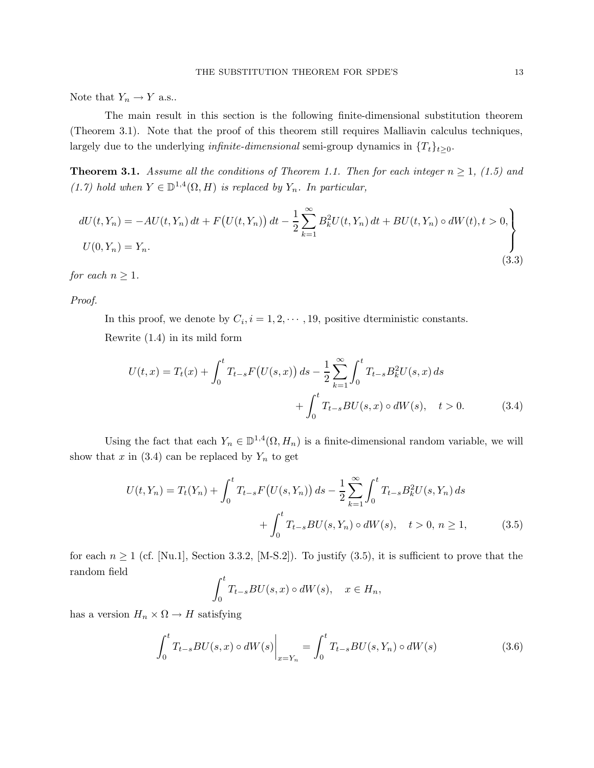Note that  $Y_n \to Y$  a.s..

The main result in this section is the following finite-dimensional substitution theorem (Theorem 3.1). Note that the proof of this theorem still requires Malliavin calculus techniques, largely due to the underlying *infinite-dimensional* semi-group dynamics in  $\{T_t\}_{t\geq 0}$ .

**Theorem 3.1.** Assume all the conditions of Theorem 1.1. Then for each integer  $n \ge 1$ , (1.5) and (1.7) hold when  $Y \in \mathbb{D}^{1,4}(\Omega, H)$  is replaced by  $Y_n$ . In particular,

$$
dU(t, Y_n) = -AU(t, Y_n) dt + F(U(t, Y_n)) dt - \frac{1}{2} \sum_{k=1}^{\infty} B_k^2 U(t, Y_n) dt + BU(t, Y_n) \circ dW(t), t > 0,
$$
  

$$
U(0, Y_n) = Y_n.
$$
 (3.3)

 $for~each~n\geq 1.$ 

Proof.

In this proof, we denote by  $C_i$ ,  $i = 1, 2, \dots, 19$ , positive dterministic constants. Rewrite (1.4) in its mild form

$$
U(t,x) = T_t(x) + \int_0^t T_{t-s} F(U(s,x)) ds - \frac{1}{2} \sum_{k=1}^{\infty} \int_0^t T_{t-s} B_k^2 U(s,x) ds
$$
  
+ 
$$
\int_0^t T_{t-s} BU(s,x) \circ dW(s), \quad t > 0.
$$
 (3.4)

Using the fact that each  $Y_n \in \mathbb{D}^{1,4}(\Omega, H_n)$  is a finite-dimensional random variable, we will show that x in (3.4) can be replaced by  $Y_n$  to get

$$
U(t, Y_n) = T_t(Y_n) + \int_0^t T_{t-s} F\big(U(s, Y_n)\big) ds - \frac{1}{2} \sum_{k=1}^\infty \int_0^t T_{t-s} B_k^2 U(s, Y_n) ds + \int_0^t T_{t-s} BU(s, Y_n) \circ dW(s), \quad t > 0, n \ge 1,
$$
 (3.5)

for each  $n \ge 1$  (cf. [Nu.1], Section 3.3.2, [M-S.2]). To justify (3.5), it is sufficient to prove that the random field

$$
\int_0^t T_{t-s}BU(s,x) \circ dW(s), \quad x \in H_n,
$$

has a version  $H_n \times \Omega \to H$  satisfying

$$
\int_{0}^{t} T_{t-s}BU(s,x) \circ dW(s) \Big|_{x=Y_{n}} = \int_{0}^{t} T_{t-s}BU(s,Y_{n}) \circ dW(s) \tag{3.6}
$$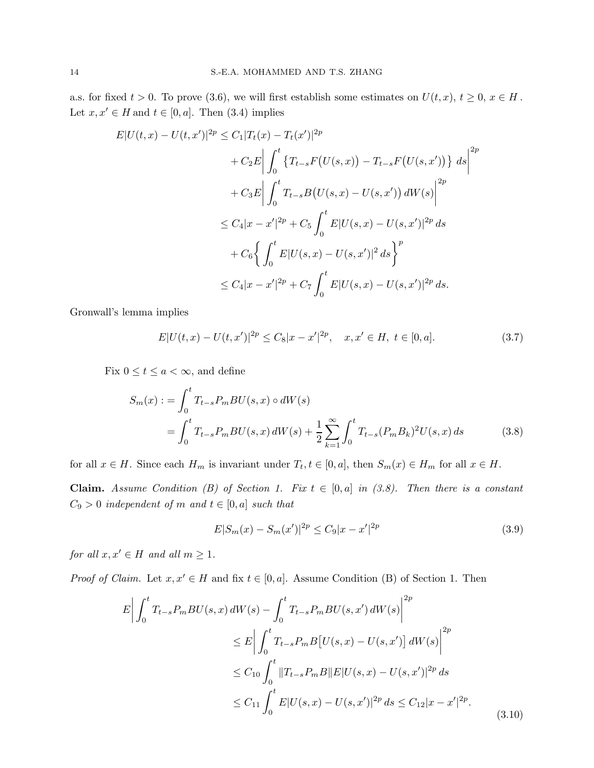a.s. for fixed  $t > 0$ . To prove (3.6), we will first establish some estimates on  $U(t, x)$ ,  $t \geq 0$ ,  $x \in H$ . Let  $x, x' \in H$  and  $t \in [0, a]$ . Then (3.4) implies

$$
E|U(t,x) - U(t,x')|^{2p} \le C_1 |T_t(x) - T_t(x')|^{2p}
$$
  
+  $C_2 E \Big| \int_0^t \{T_{t-s} F(U(s,x)) - T_{t-s} F(U(s,x'))\} ds \Big|^{2p}$   
+  $C_3 E \Big| \int_0^t T_{t-s} B(U(s,x) - U(s,x')) dW(s) \Big|^{2p}$   
 $\le C_4 |x - x'|^{2p} + C_5 \int_0^t E|U(s,x) - U(s,x')|^{2p} ds$   
+  $C_6 \Big\{ \int_0^t E|U(s,x) - U(s,x')|^2 ds \Big\}^p$   
 $\le C_4 |x - x'|^{2p} + C_7 \int_0^t E|U(s,x) - U(s,x')|^{2p} ds.$ 

Gronwall's lemma implies

$$
E|U(t,x) - U(t,x')|^{2p} \le C_8|x - x'|^{2p}, \quad x, x' \in H, \ t \in [0, a]. \tag{3.7}
$$

Fix  $0 \le t \le a < \infty$ , and define

$$
S_m(x) := \int_0^t T_{t-s} P_m B U(s, x) \circ dW(s)
$$
  
= 
$$
\int_0^t T_{t-s} P_m B U(s, x) dW(s) + \frac{1}{2} \sum_{k=1}^\infty \int_0^t T_{t-s} (P_m B_k)^2 U(s, x) ds
$$
 (3.8)

for all  $x \in H$ . Since each  $H_m$  is invariant under  $T_t, t \in [0, a]$ , then  $S_m(x) \in H_m$  for all  $x \in H$ .

Claim. Assume Condition (B) of Section 1. Fix  $t \in [0, a]$  in (3.8). Then there is a constant  $C_9 > 0$  independent of m and  $t \in [0, a]$  such that

$$
E|S_m(x) - S_m(x')|^{2p} \le C_9|x - x'|^{2p} \tag{3.9}
$$

for all  $x, x' \in H$  and all  $m \geq 1$ .

*Proof of Claim.* Let  $x, x' \in H$  and fix  $t \in [0, a]$ . Assume Condition (B) of Section 1. Then

$$
E\left|\int_{0}^{t} T_{t-s}P_{m}BU(s,x) dW(s) - \int_{0}^{t} T_{t-s}P_{m}BU(s,x') dW(s)\right|^{2p}
$$
  
\n
$$
\leq E\left|\int_{0}^{t} T_{t-s}P_{m}B[U(s,x) - U(s,x')] dW(s)\right|^{2p}
$$
  
\n
$$
\leq C_{10} \int_{0}^{t} \|T_{t-s}P_{m}B\|E|U(s,x) - U(s,x')|^{2p} ds
$$
  
\n
$$
\leq C_{11} \int_{0}^{t} E|U(s,x) - U(s,x')|^{2p} ds \leq C_{12}|x - x'|^{2p}.
$$
\n(3.10)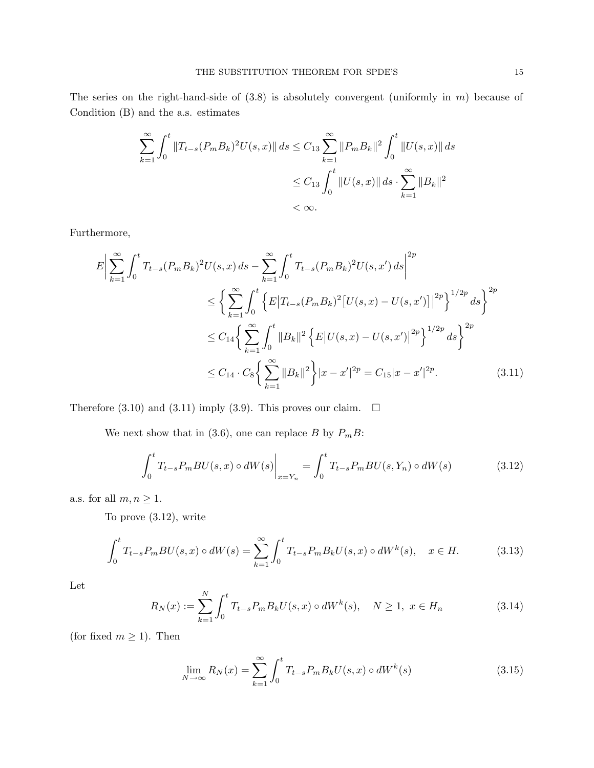The series on the right-hand-side of  $(3.8)$  is absolutely convergent (uniformly in m) because of Condition (B) and the a.s. estimates

$$
\sum_{k=1}^{\infty} \int_{0}^{t} \|T_{t-s}(P_m B_k)^2 U(s, x)\| ds \le C_{13} \sum_{k=1}^{\infty} \|P_m B_k\|^2 \int_{0}^{t} \|U(s, x)\| ds
$$
  

$$
\le C_{13} \int_{0}^{t} \|U(s, x)\| ds \cdot \sum_{k=1}^{\infty} \|B_k\|^2
$$
  

$$
< \infty.
$$

Furthermore,

$$
E\left|\sum_{k=1}^{\infty} \int_{0}^{t} T_{t-s} (P_{m} B_{k})^{2} U(s, x) ds - \sum_{k=1}^{\infty} \int_{0}^{t} T_{t-s} (P_{m} B_{k})^{2} U(s, x') ds \right|^{2p}
$$
  

$$
\leq \left\{ \sum_{k=1}^{\infty} \int_{0}^{t} \left\{ E|T_{t-s} (P_{m} B_{k})^{2} [U(s, x) - U(s, x')]|^{2p} \right\}^{1/2p} ds \right\}^{2p}
$$
  

$$
\leq C_{14} \left\{ \sum_{k=1}^{\infty} \int_{0}^{t} \|B_{k}\|^{2} \left\{ E|U(s, x) - U(s, x')|^{2p} \right\}^{1/2p} ds \right\}^{2p}
$$
  

$$
\leq C_{14} \cdot C_{8} \left\{ \sum_{k=1}^{\infty} \|B_{k}\|^{2} \right\} |x - x'|^{2p} = C_{15} |x - x'|^{2p}.
$$
 (3.11)

Therefore (3.10) and (3.11) imply (3.9). This proves our claim.  $\Box$ 

We next show that in (3.6), one can replace B by  $P_mB$ :

$$
\int_{0}^{t} T_{t-s} P_{m} BU(s, x) \circ dW(s) \Big|_{x=Y_{n}} = \int_{0}^{t} T_{t-s} P_{m} BU(s, Y_{n}) \circ dW(s)
$$
(3.12)

a.s. for all  $m, n \geq 1$ .

To prove (3.12), write

$$
\int_0^t T_{t-s} P_m B U(s, x) \circ dW(s) = \sum_{k=1}^\infty \int_0^t T_{t-s} P_m B_k U(s, x) \circ dW^k(s), \quad x \in H. \tag{3.13}
$$

Let

$$
R_N(x) := \sum_{k=1}^N \int_0^t T_{t-s} P_m B_k U(s, x) \circ dW^k(s), \quad N \ge 1, \ x \in H_n \tag{3.14}
$$

(for fixed  $m \ge 1$ ). Then

$$
\lim_{N \to \infty} R_N(x) = \sum_{k=1}^{\infty} \int_0^t T_{t-s} P_m B_k U(s, x) \circ dW^k(s)
$$
\n(3.15)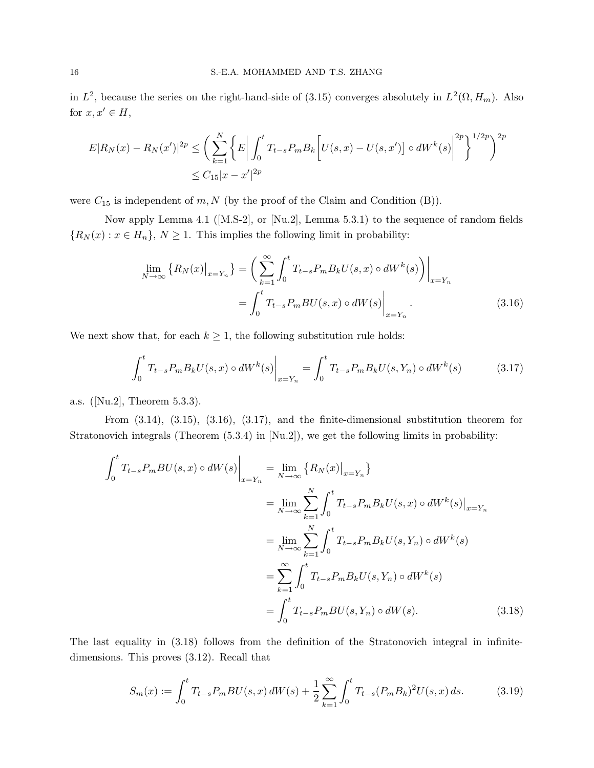in  $L^2$ , because the series on the right-hand-side of (3.15) converges absolutely in  $L^2(\Omega, H_m)$ . Also for  $x, x' \in H$ ,

$$
E|R_N(x) - R_N(x')|^{2p} \le \left(\sum_{k=1}^N \left\{E\left|\int_0^t T_{t-s} P_m B_k \left[U(s,x) - U(s,x')\right] \circ dW^k(s)\right|^{2p}\right\}^{1/2p}\right)^{2p}
$$
  

$$
\le C_{15}|x - x'|^{2p}
$$

were  $C_{15}$  is independent of  $m, N$  (by the proof of the Claim and Condition (B)).

Now apply Lemma 4.1 ([M.S-2], or [Nu.2], Lemma 5.3.1) to the sequence of random fields  ${R_N(x) : x \in H_n}, N \ge 1$ . This implies the following limit in probability:

$$
\lim_{N \to \infty} \left\{ R_N(x) \big|_{x = Y_n} \right\} = \left( \sum_{k=1}^{\infty} \int_0^t T_{t-s} P_m B_k U(s, x) \circ dW^k(s) \right) \Big|_{x = Y_n}
$$
\n
$$
= \int_0^t T_{t-s} P_m B U(s, x) \circ dW(s) \Big|_{x = Y_n} . \tag{3.16}
$$

We next show that, for each  $k \geq 1$ , the following substitution rule holds:

$$
\int_{0}^{t} T_{t-s} P_{m} B_{k} U(s, x) \circ dW^{k}(s) \Big|_{x = Y_{n}} = \int_{0}^{t} T_{t-s} P_{m} B_{k} U(s, Y_{n}) \circ dW^{k}(s) \tag{3.17}
$$

a.s. ([Nu.2], Theorem 5.3.3).

From (3.14), (3.15), (3.16), (3.17), and the finite-dimensional substitution theorem for Stratonovich integrals (Theorem (5.3.4) in [Nu.2]), we get the following limits in probability:

$$
\int_{0}^{t} T_{t-s} P_{m} BU(s, x) \circ dW(s) \Big|_{x=Y_{n}} = \lim_{N \to \infty} \left\{ R_{N}(x) \big|_{x=Y_{n}} \right\} \n= \lim_{N \to \infty} \sum_{k=1}^{N} \int_{0}^{t} T_{t-s} P_{m} B_{k} U(s, x) \circ dW^{k}(s) \Big|_{x=Y_{n}} \n= \lim_{N \to \infty} \sum_{k=1}^{N} \int_{0}^{t} T_{t-s} P_{m} B_{k} U(s, Y_{n}) \circ dW^{k}(s) \n= \sum_{k=1}^{\infty} \int_{0}^{t} T_{t-s} P_{m} B_{k} U(s, Y_{n}) \circ dW^{k}(s) \n= \int_{0}^{t} T_{t-s} P_{m} BU(s, Y_{n}) \circ dW(s).
$$
\n(3.18)

The last equality in (3.18) follows from the definition of the Stratonovich integral in infinitedimensions. This proves (3.12). Recall that

$$
S_m(x) := \int_0^t T_{t-s} P_m B U(s, x) dW(s) + \frac{1}{2} \sum_{k=1}^\infty \int_0^t T_{t-s} (P_m B_k)^2 U(s, x) ds.
$$
 (3.19)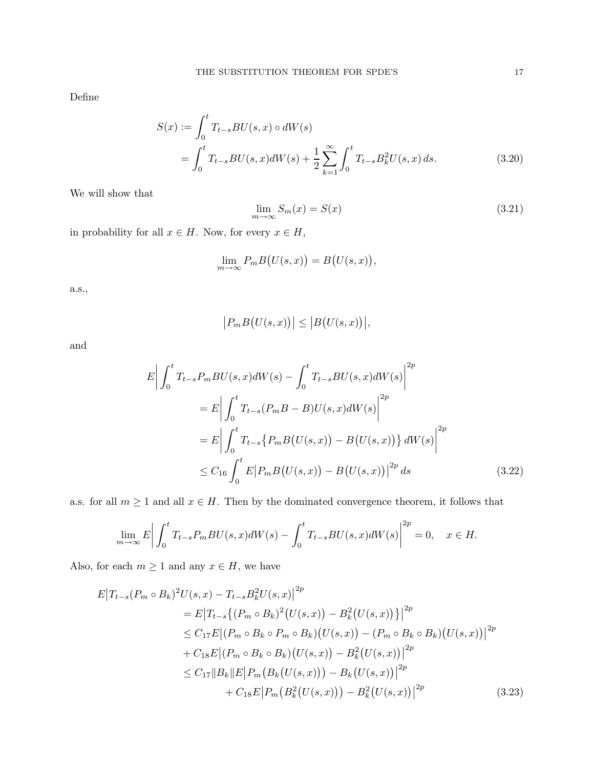Define

$$
S(x) := \int_0^t T_{t-s} BU(s, x) \circ dW(s)
$$
  
= 
$$
\int_0^t T_{t-s} BU(s, x) dW(s) + \frac{1}{2} \sum_{k=1}^\infty \int_0^t T_{t-s} B_k^2 U(s, x) ds.
$$
 (3.20)

We will show that

$$
\lim_{m \to \infty} S_m(x) = S(x) \tag{3.21}
$$

in probability for all  $x \in H$ . Now, for every  $x \in H$ ,

$$
\lim_{m \to \infty} P_m B(U(s, x)) = B(U(s, x)),
$$

a.s.,

$$
\big| P_m B\big(U(s,x)\big) \big| \leq \big| B\big(U(s,x)\big) \big|,
$$

and

$$
E\left|\int_{0}^{t} T_{t-s} P_{m} BU(s, x)dW(s) - \int_{0}^{t} T_{t-s} BU(s, x)dW(s)\right|^{2p}
$$
  
\n
$$
= E\left|\int_{0}^{t} T_{t-s} (P_{m} B - B)U(s, x)dW(s)\right|^{2p}
$$
  
\n
$$
= E\left|\int_{0}^{t} T_{t-s} \{P_{m} B(U(s, x)) - B(U(s, x))\} dW(s)\right|^{2p}
$$
  
\n
$$
\leq C_{16} \int_{0}^{t} E\left|P_{m} B(U(s, x)) - B(U(s, x))\right|^{2p} ds
$$
\n(3.22)

a.s. for all  $m \ge 1$  and all  $x \in H$ . Then by the dominated convergence theorem, it follows that

$$
\lim_{m \to \infty} E \left| \int_0^t T_{t-s} P_m B U(s, x) dW(s) - \int_0^t T_{t-s} B U(s, x) dW(s) \right|^{2p} = 0, \quad x \in H.
$$

Also, for each  $m \geq 1$  and any  $x \in H$ , we have

$$
E|T_{t-s}(P_m \circ B_k)^2 U(s, x) - T_{t-s} B_k^2 U(s, x)|^{2p}
$$
  
\n
$$
= E|T_{t-s}\{(P_m \circ B_k)^2 (U(s, x)) - B_k^2 (U(s, x))\}|^{2p}
$$
  
\n
$$
\leq C_{17} E|(P_m \circ B_k \circ P_m \circ B_k)(U(s, x)) - (P_m \circ B_k \circ B_k)(U(s, x))|^{2p}
$$
  
\n
$$
+ C_{18} E|(P_m \circ B_k \circ B_k)(U(s, x)) - B_k^2 (U(s, x))|^{2p}
$$
  
\n
$$
\leq C_{17} ||B_k|| E| P_m (B_k (U(s, x))) - B_k (U(s, x))|^{2p}
$$
  
\n
$$
+ C_{18} E|P_m (B_k^2 (U(s, x))) - B_k^2 (U(s, x))|^{2p}
$$
\n(3.23)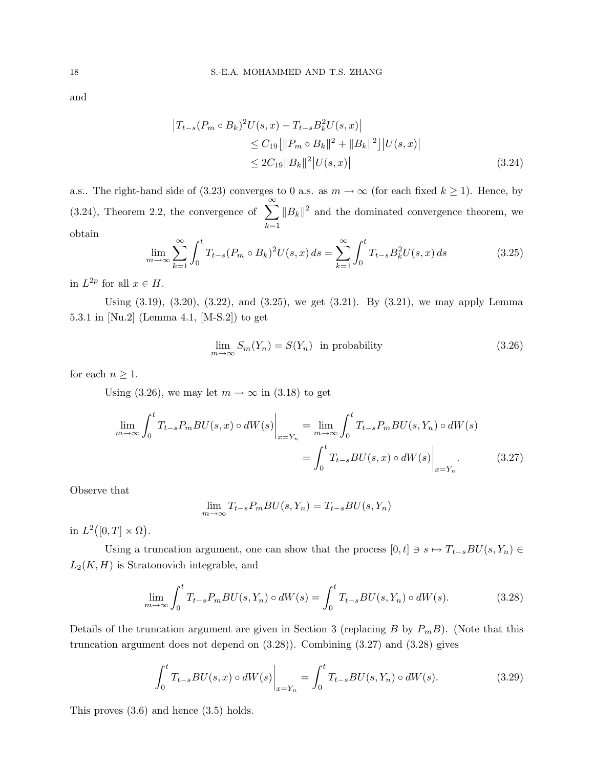and

$$
\begin{aligned} \left| T_{t-s}(P_m \circ B_k)^2 U(s, x) - T_{t-s} B_k^2 U(s, x) \right| \\ &\le C_{19} \left[ \| P_m \circ B_k \|^2 + \| B_k \|^2 \right] \left| U(s, x) \right| \\ &\le 2C_{19} \| B_k \|^2 \left| U(s, x) \right| \end{aligned} \tag{3.24}
$$

a.s.. The right-hand side of (3.23) converges to 0 a.s. as  $m \to \infty$  (for each fixed  $k \ge 1$ ). Hence, by (3.24), Theorem 2.2, the convergence of  $\sum_{n=1}^{\infty}$  $k=1$  $||B_k||^2$  and the dominated convergence theorem, we obtain

$$
\lim_{m \to \infty} \sum_{k=1}^{\infty} \int_0^t T_{t-s} (P_m \circ B_k)^2 U(s, x) \, ds = \sum_{k=1}^{\infty} \int_0^t T_{t-s} B_k^2 U(s, x) \, ds \tag{3.25}
$$

in  $L^{2p}$  for all  $x \in H$ .

Using (3.19), (3.20), (3.22), and (3.25), we get (3.21). By (3.21), we may apply Lemma 5.3.1 in [Nu.2] (Lemma 4.1, [M-S.2]) to get

$$
\lim_{m \to \infty} S_m(Y_n) = S(Y_n) \text{ in probability}
$$
\n(3.26)

for each  $n \geq 1$ .

Using (3.26), we may let  $m \to \infty$  in (3.18) to get

$$
\lim_{m \to \infty} \int_0^t T_{t-s} P_m B U(s, x) \circ dW(s) \Big|_{x=Y_n} = \lim_{m \to \infty} \int_0^t T_{t-s} P_m B U(s, Y_n) \circ dW(s)
$$

$$
= \int_0^t T_{t-s} B U(s, x) \circ dW(s) \Big|_{x=Y_n}.
$$
(3.27)

Observe that

$$
\lim_{m \to \infty} T_{t-s} P_m BU(s, Y_n) = T_{t-s} BU(s, Y_n)
$$

in  $L^2([0,T]\times\Omega)$ .

Using a truncation argument, one can show that the process  $[0,t] \ni s \mapsto T_{t-s}BU(s,Y_n) \in$  $L_2(K, H)$  is Stratonovich integrable, and

$$
\lim_{m \to \infty} \int_0^t T_{t-s} P_m B U(s, Y_n) \circ dW(s) = \int_0^t T_{t-s} B U(s, Y_n) \circ dW(s).
$$
 (3.28)

Details of the truncation argument are given in Section 3 (replacing B by  $P_mB$ ). (Note that this truncation argument does not depend on (3.28)). Combining (3.27) and (3.28) gives

$$
\int_{0}^{t} T_{t-s} BU(s, x) \circ dW(s) \Big|_{x=Y_{n}} = \int_{0}^{t} T_{t-s} BU(s, Y_{n}) \circ dW(s).
$$
 (3.29)

This proves (3.6) and hence (3.5) holds.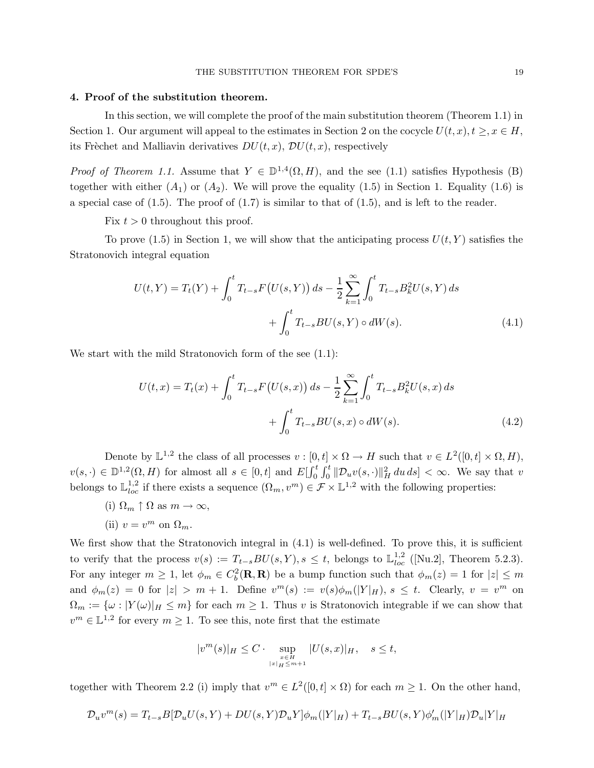#### 4. Proof of the substitution theorem.

In this section, we will complete the proof of the main substitution theorem (Theorem 1.1) in Section 1. Our argument will appeal to the estimates in Section 2 on the cocycle  $U(t, x), t \geq, x \in H$ , its Frèchet and Malliavin derivatives  $DU(t, x)$ ,  $DU(t, x)$ , respectively

*Proof of Theorem 1.1.* Assume that  $Y \in \mathbb{D}^{1,4}(\Omega, H)$ , and the see (1.1) satisfies Hypothesis (B) together with either  $(A_1)$  or  $(A_2)$ . We will prove the equality (1.5) in Section 1. Equality (1.6) is a special case of  $(1.5)$ . The proof of  $(1.7)$  is similar to that of  $(1.5)$ , and is left to the reader.

Fix  $t > 0$  throughout this proof.

To prove (1.5) in Section 1, we will show that the anticipating process  $U(t, Y)$  satisfies the Stratonovich integral equation

$$
U(t,Y) = T_t(Y) + \int_0^t T_{t-s} F(U(s,Y)) ds - \frac{1}{2} \sum_{k=1}^{\infty} \int_0^t T_{t-s} B_k^2 U(s,Y) ds
$$
  
+ 
$$
\int_0^t T_{t-s} BU(s,Y) \circ dW(s).
$$
 (4.1)

We start with the mild Stratonovich form of the see  $(1.1)$ :

$$
U(t,x) = T_t(x) + \int_0^t T_{t-s} F\left(U(s,x)\right) ds - \frac{1}{2} \sum_{k=1}^\infty \int_0^t T_{t-s} B_k^2 U(s,x) ds + \int_0^t T_{t-s} BU(s,x) \circ dW(s).
$$
 (4.2)

Denote by  $\mathbb{L}^{1,2}$  the class of all processes  $v : [0,t] \times \Omega \to H$  such that  $v \in L^2([0,t] \times \Omega, H)$ ,  $v(s, \cdot) \in \mathbb{D}^{1,2}(\Omega, H)$  for almost all  $s \in [0, t]$  and  $E[\int_0^t \int_0^t ||\mathcal{D}_u v(s, \cdot)||_H^2 du ds] < \infty$ . We say that v belongs to  $\mathbb{L}^{1,2}_{loc}$  if there exists a sequence  $(\Omega_m, v^m) \in \mathcal{F} \times \mathbb{L}^{1,2}$  with the following properties:

(i)  $\Omega_m \uparrow \Omega$  as  $m \to \infty$ ,

(ii) 
$$
v = v^m
$$
 on  $\Omega_m$ .

We first show that the Stratonovich integral in  $(4.1)$  is well-defined. To prove this, it is sufficient to verify that the process  $v(s) := T_{t-s}BU(s,Y), s \leq t$ , belongs to  $\mathbb{L}^{1,2}_{loc}$  ([Nu.2], Theorem 5.2.3). For any integer  $m \geq 1$ , let  $\phi_m \in C_b^2(\mathbf{R}, \mathbf{R})$  be a bump function such that  $\phi_m(z) = 1$  for  $|z| \leq m$ and  $\phi_m(z) = 0$  for  $|z| > m + 1$ . Define  $v^m(s) := v(s)\phi_m(|Y|_H)$ ,  $s \le t$ . Clearly,  $v = v^m$  on  $\Omega_m := {\{\omega : |Y(\omega)|_H \leq m\}}$  for each  $m \geq 1$ . Thus v is Stratonovich integrable if we can show that  $v^m \in \mathbb{L}^{1,2}$  for every  $m \geq 1$ . To see this, note first that the estimate

$$
|v^m(s)|_H \le C \cdot \sup_{\substack{x \in H \\ |x|_H \le m+1}} |U(s,x)|_H, \quad s \le t,
$$

together with Theorem 2.2 (i) imply that  $v^m \in L^2([0,t] \times \Omega)$  for each  $m \geq 1$ . On the other hand,

$$
\mathcal{D}_u v^m(s) = T_{t-s} B[\mathcal{D}_u U(s,Y) + DU(s,Y) \mathcal{D}_u Y] \phi_m(|Y|_H) + T_{t-s} BU(s,Y) \phi_m'(|Y|_H) \mathcal{D}_u |Y|_H
$$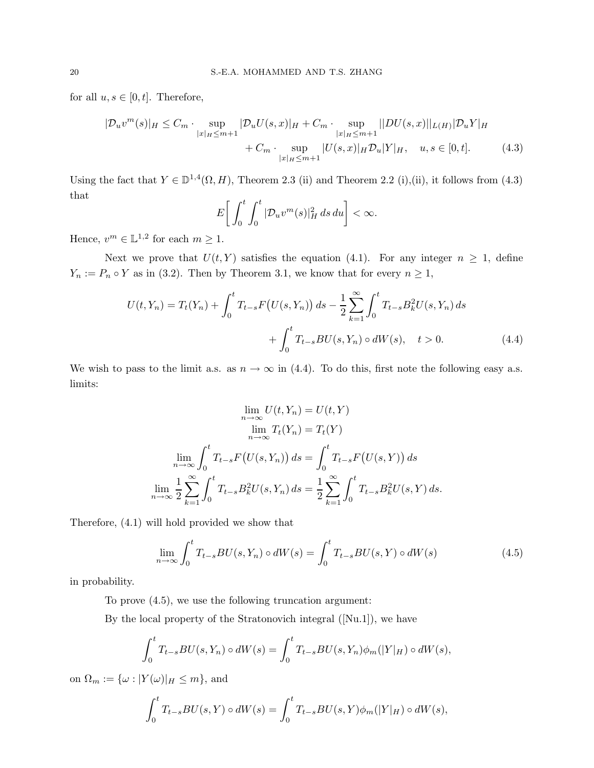for all  $u, s \in [0, t]$ . Therefore,

$$
|\mathcal{D}_{u}v^{m}(s)|_{H} \leq C_{m} \cdot \sup_{|x|_{H} \leq m+1} |\mathcal{D}_{u}U(s,x)|_{H} + C_{m} \cdot \sup_{|x|_{H} \leq m+1} ||DU(s,x)||_{L(H)} |\mathcal{D}_{u}Y|_{H}
$$
  
+  $C_{m} \cdot \sup_{|x|_{H} \leq m+1} |U(s,x)|_{H} \mathcal{D}_{u}|Y|_{H}, \quad u, s \in [0, t].$  (4.3)

Using the fact that  $Y \in \mathbb{D}^{1,4}(\Omega, H)$ , Theorem 2.3 (ii) and Theorem 2.2 (i),(ii), it follows from (4.3) that

$$
E\bigg[\int_0^t \int_0^t |\mathcal{D}_u v^m(s)|_H^2 ds du\bigg] < \infty.
$$

Hence,  $v^m \in \mathbb{L}^{1,2}$  for each  $m \geq 1$ .

Next we prove that  $U(t, Y)$  satisfies the equation (4.1). For any integer  $n \geq 1$ , define  $Y_n := P_n \circ Y$  as in (3.2). Then by Theorem 3.1, we know that for every  $n \geq 1$ ,

$$
U(t, Y_n) = T_t(Y_n) + \int_0^t T_{t-s} F\left(U(s, Y_n)\right) ds - \frac{1}{2} \sum_{k=1}^\infty \int_0^t T_{t-s} B_k^2 U(s, Y_n) ds + \int_0^t T_{t-s} BU(s, Y_n) \circ dW(s), \quad t > 0.
$$
 (4.4)

We wish to pass to the limit a.s. as  $n \to \infty$  in (4.4). To do this, first note the following easy a.s. limits:

$$
\lim_{n \to \infty} U(t, Y_n) = U(t, Y)
$$

$$
\lim_{n \to \infty} T_t(Y_n) = T_t(Y)
$$

$$
\lim_{n \to \infty} \int_0^t T_{t-s} F(U(s, Y_n)) ds = \int_0^t T_{t-s} F(U(s, Y)) ds
$$

$$
\lim_{n \to \infty} \frac{1}{2} \sum_{k=1}^{\infty} \int_0^t T_{t-s} B_k^2 U(s, Y_n) ds = \frac{1}{2} \sum_{k=1}^{\infty} \int_0^t T_{t-s} B_k^2 U(s, Y) ds.
$$

Therefore, (4.1) will hold provided we show that

$$
\lim_{n \to \infty} \int_0^t T_{t-s} BU(s, Y_n) \circ dW(s) = \int_0^t T_{t-s} BU(s, Y) \circ dW(s)
$$
\n(4.5)

in probability.

To prove (4.5), we use the following truncation argument:

By the local property of the Stratonovich integral ([Nu.1]), we have

$$
\int_0^t T_{t-s}BU(s,Y_n) \circ dW(s) = \int_0^t T_{t-s}BU(s,Y_n)\phi_m(|Y|_H) \circ dW(s),
$$

on  $\Omega_m := {\{\omega : |Y(\omega)|_H \leq m\}}$ , and

$$
\int_0^t T_{t-s}BU(s,Y) \circ dW(s) = \int_0^t T_{t-s}BU(s,Y)\phi_m(|Y|_H) \circ dW(s),
$$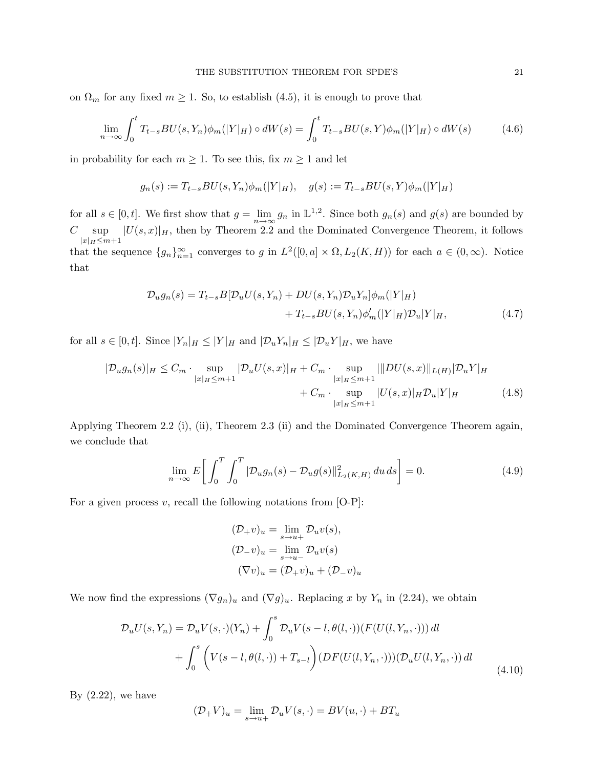on  $\Omega_m$  for any fixed  $m \geq 1$ . So, to establish (4.5), it is enough to prove that

$$
\lim_{n \to \infty} \int_0^t T_{t-s} BU(s, Y_n) \phi_m(|Y|_H) \circ dW(s) = \int_0^t T_{t-s} BU(s, Y) \phi_m(|Y|_H) \circ dW(s) \tag{4.6}
$$

in probability for each  $m \geq 1$ . To see this, fix  $m \geq 1$  and let

$$
g_n(s) := T_{t-s}BU(s,Y_n)\phi_m(|Y|_H), \quad g(s) := T_{t-s}BU(s,Y)\phi_m(|Y|_H)
$$

for all  $s \in [0, t]$ . We first show that  $g = \lim_{n \to \infty} g_n$  in  $\mathbb{L}^{1,2}$ . Since both  $g_n(s)$  and  $g(s)$  are bounded by  $C-{\rm sup}$  $|x|_H\leq m+1$  $|U(s, x)|_H$ , then by Theorem 2.2 and the Dominated Convergence Theorem, it follows that the sequence  $\{g_n\}_{n=1}^{\infty}$  converges to g in  $L^2([0, a] \times \Omega, L_2(K, H))$  for each  $a \in (0, \infty)$ . Notice that

$$
\mathcal{D}_u g_n(s) = T_{t-s} B[\mathcal{D}_u U(s, Y_n) + DU(s, Y_n) \mathcal{D}_u Y_n] \phi_m(|Y|_H) + T_{t-s} BU(s, Y_n) \phi'_m(|Y|_H) \mathcal{D}_u |Y|_H,
$$
(4.7)

for all  $s \in [0,t]$ . Since  $|Y_n|_H \leq |Y|_H$  and  $|\mathcal{D}_u Y_n|_H \leq |\mathcal{D}_u Y|_H$ , we have

$$
|\mathcal{D}_u g_n(s)|_H \le C_m \cdot \sup_{|x|_H \le m+1} |\mathcal{D}_u U(s,x)|_H + C_m \cdot \sup_{|x|_H \le m+1} |||DU(s,x)||_{L(H)} |\mathcal{D}_u Y|_H
$$
  
+  $C_m \cdot \sup_{|x|_H \le m+1} |U(s,x)|_H \mathcal{D}_u |Y|_H$  (4.8)

Applying Theorem 2.2 (i), (ii), Theorem 2.3 (ii) and the Dominated Convergence Theorem again, we conclude that

$$
\lim_{n \to \infty} E \bigg[ \int_0^T \int_0^T |\mathcal{D}_u g_n(s) - \mathcal{D}_u g(s)|^2_{L_2(K,H)} du \, ds \bigg] = 0. \tag{4.9}
$$

For a given process  $v$ , recall the following notations from [O-P]:

$$
(\mathcal{D}_{+}v)_{u} = \lim_{s \to u+} \mathcal{D}_{u}v(s),
$$
  
\n
$$
(\mathcal{D}_{-}v)_{u} = \lim_{s \to u-} \mathcal{D}_{u}v(s)
$$
  
\n
$$
(\nabla v)_{u} = (\mathcal{D}_{+}v)_{u} + (\mathcal{D}_{-}v)_{u}
$$

We now find the expressions  $(\nabla g_n)_u$  and  $(\nabla g)_u$ . Replacing x by  $Y_n$  in (2.24), we obtain

$$
\mathcal{D}_u U(s, Y_n) = \mathcal{D}_u V(s, \cdot) (Y_n) + \int_0^s \mathcal{D}_u V(s - l, \theta(l, \cdot)) (F(U(l, Y_n, \cdot))) dl
$$
  
+ 
$$
\int_0^s \left( V(s - l, \theta(l, \cdot)) + T_{s-l} \right) (DF(U(l, Y_n, \cdot))) (\mathcal{D}_u U(l, Y_n, \cdot)) dl
$$
(4.10)

By  $(2.22)$ , we have

$$
(\mathcal{D}_{+}V)_{u} = \lim_{s \to u+} \mathcal{D}_{u}V(s,\cdot) = BV(u,\cdot) + BT_{u}
$$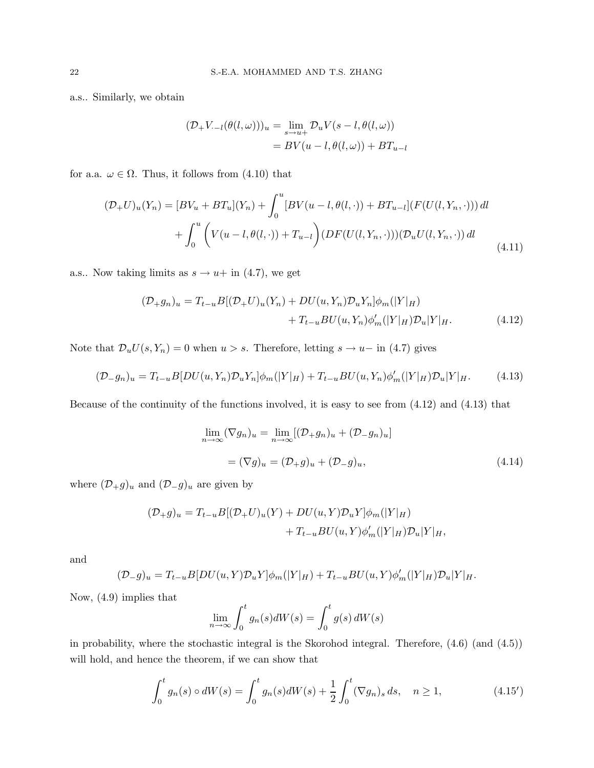a.s.. Similarly, we obtain

$$
(\mathcal{D}_{+}V_{-l}(\theta(l,\omega)))_{u} = \lim_{s \to u+} \mathcal{D}_{u}V(s-l,\theta(l,\omega))
$$
  
= BV(u-l,\theta(l,\omega)) + BT<sub>u-l</sub>

for a.a.  $\omega \in \Omega$ . Thus, it follows from (4.10) that

$$
(\mathcal{D}_{+}U)_{u}(Y_{n}) = [BV_{u} + BT_{u}](Y_{n}) + \int_{0}^{u} [BV(u - l, \theta(l, \cdot)) + BT_{u-l}] (F(U(l, Y_{n}, \cdot))) dl + \int_{0}^{u} \left( V(u - l, \theta(l, \cdot)) + T_{u-l} \right) (DF(U(l, Y_{n}, \cdot))) (\mathcal{D}_{u}U(l, Y_{n}, \cdot)) dl
$$
\n(4.11)

a.s.. Now taking limits as  $s \to u +$  in (4.7), we get

$$
\begin{aligned} (\mathcal{D}_{+}g_{n})_{u} &= T_{t-u}B[(\mathcal{D}_{+}U)_{u}(Y_{n}) + DU(u,Y_{n})\mathcal{D}_{u}Y_{n}]\phi_{m}(|Y|_{H}) \\ &+ T_{t-u}BU(u,Y_{n})\phi'_{m}(|Y|_{H})\mathcal{D}_{u}|Y|_{H}. \end{aligned} \tag{4.12}
$$

Note that  $\mathcal{D}_u U(s, Y_n) = 0$  when  $u > s$ . Therefore, letting  $s \to u$  in (4.7) gives

$$
(\mathcal{D}_{-}g_{n})_{u} = T_{t-u}B[DU(u,Y_{n})\mathcal{D}_{u}Y_{n}]\phi_{m}(|Y|_{H}) + T_{t-u}BU(u,Y_{n})\phi'_{m}(|Y|_{H})\mathcal{D}_{u}|Y|_{H}.
$$
 (4.13)

Because of the continuity of the functions involved, it is easy to see from (4.12) and (4.13) that

$$
\lim_{n \to \infty} (\nabla g_n)_u = \lim_{n \to \infty} [(\mathcal{D}_+ g_n)_u + (\mathcal{D}_- g_n)_u]
$$
  
=  $(\nabla g)_u = (\mathcal{D}_+ g)_u + (\mathcal{D}_- g)_u,$  (4.14)

where  $(\mathcal{D}_+g)_u$  and  $(\mathcal{D}_-g)_u$  are given by

$$
\begin{aligned} (\mathcal{D}_+ g)_u &= T_{t-u} B[(\mathcal{D}_+ U)_u(Y) + DU(u,Y)\mathcal{D}_u Y]\phi_m(|Y|_H) \\ &+ T_{t-u} BU(u,Y)\phi_m'(|Y|_H)\mathcal{D}_u|Y|_H, \end{aligned}
$$

and

$$
(\mathcal{D}_-g)_u = T_{t-u}B[DU(u,Y)\mathcal{D}_uY]\phi_m(|Y|_H) + T_{t-u}BU(u,Y)\phi_m'(|Y|_H)\mathcal{D}_u|Y|_H.
$$

Now, (4.9) implies that

$$
\lim_{n \to \infty} \int_0^t g_n(s) dW(s) = \int_0^t g(s) dW(s)
$$

in probability, where the stochastic integral is the Skorohod integral. Therefore, (4.6) (and (4.5)) will hold, and hence the theorem, if we can show that

$$
\int_0^t g_n(s) \circ dW(s) = \int_0^t g_n(s) dW(s) + \frac{1}{2} \int_0^t (\nabla g_n)_s ds, \quad n \ge 1,
$$
\n(4.15')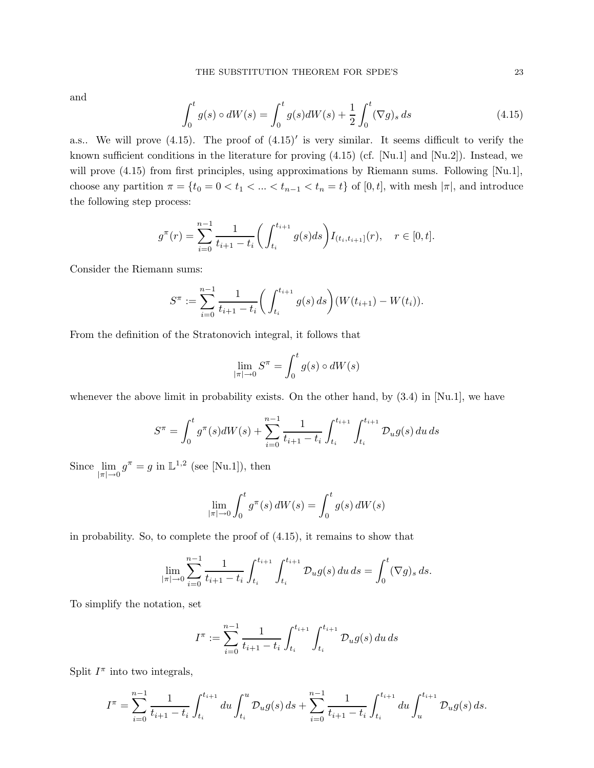and

$$
\int_0^t g(s) \circ dW(s) = \int_0^t g(s) dW(s) + \frac{1}{2} \int_0^t (\nabla g)_s ds \tag{4.15}
$$

a.s.. We will prove  $(4.15)$ . The proof of  $(4.15)'$  is very similar. It seems difficult to verify the known sufficient conditions in the literature for proving (4.15) (cf. [Nu.1] and [Nu.2]). Instead, we will prove  $(4.15)$  from first principles, using approximations by Riemann sums. Following [Nu.1], choose any partition  $\pi = \{t_0 = 0 < t_1 < \ldots < t_{n-1} < t_n = t\}$  of  $[0, t]$ , with mesh  $|\pi|$ , and introduce the following step process:

$$
g^{\pi}(r) = \sum_{i=0}^{n-1} \frac{1}{t_{i+1} - t_i} \bigg( \int_{t_i}^{t_{i+1}} g(s) ds \bigg) I_{(t_i, t_{i+1}]}(r), \quad r \in [0, t].
$$

Consider the Riemann sums:

$$
S^{\pi} := \sum_{i=0}^{n-1} \frac{1}{t_{i+1} - t_i} \bigg( \int_{t_i}^{t_{i+1}} g(s) \, ds \bigg) (W(t_{i+1}) - W(t_i)).
$$

From the definition of the Stratonovich integral, it follows that

$$
\lim_{|\pi| \to 0} S^{\pi} = \int_0^t g(s) \circ dW(s)
$$

whenever the above limit in probability exists. On the other hand, by  $(3.4)$  in [Nu.1], we have

$$
S^{\pi} = \int_0^t g^{\pi}(s) dW(s) + \sum_{i=0}^{n-1} \frac{1}{t_{i+1} - t_i} \int_{t_i}^{t_{i+1}} \int_{t_i}^{t_{i+1}} \mathcal{D}_u g(s) du ds
$$

Since  $\lim_{|\pi| \to 0} g^{\pi} = g$  in  $\mathbb{L}^{1,2}$  (see [Nu.1]), then

$$
\lim_{|\pi| \to 0} \int_0^t g^\pi(s) dW(s) = \int_0^t g(s) dW(s)
$$

in probability. So, to complete the proof of (4.15), it remains to show that

$$
\lim_{|\pi| \to 0} \sum_{i=0}^{n-1} \frac{1}{t_{i+1} - t_i} \int_{t_i}^{t_{i+1}} \int_{t_i}^{t_{i+1}} \mathcal{D}_u g(s) \, du \, ds = \int_0^t (\nabla g)_s \, ds.
$$

To simplify the notation, set

$$
I^{\pi} := \sum_{i=0}^{n-1} \frac{1}{t_{i+1} - t_i} \int_{t_i}^{t_{i+1}} \int_{t_i}^{t_{i+1}} \mathcal{D}_u g(s) \, du \, ds
$$

Split  $I^{\pi}$  into two integrals,

$$
I^{\pi} = \sum_{i=0}^{n-1} \frac{1}{t_{i+1} - t_i} \int_{t_i}^{t_{i+1}} du \int_{t_i}^u \mathcal{D}_u g(s) \, ds + \sum_{i=0}^{n-1} \frac{1}{t_{i+1} - t_i} \int_{t_i}^{t_{i+1}} du \int_u^{t_{i+1}} \mathcal{D}_u g(s) \, ds.
$$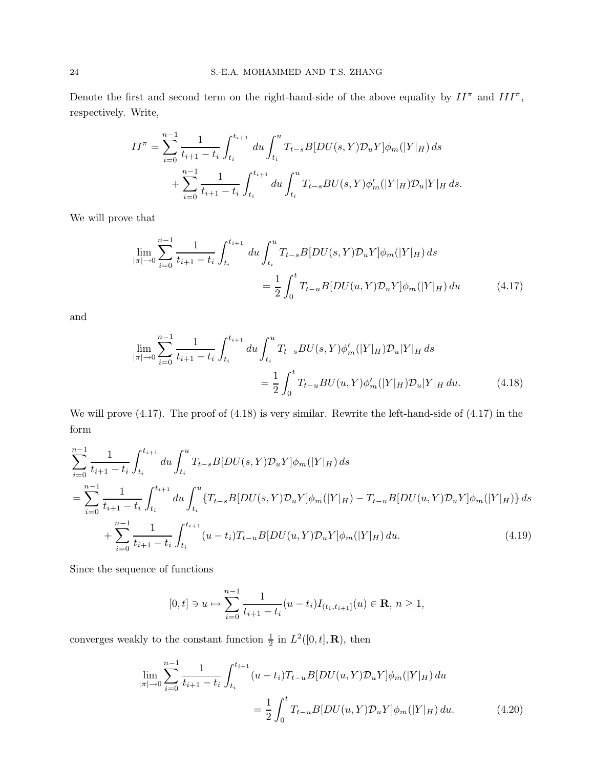Denote the first and second term on the right-hand-side of the above equality by  $II^{\pi}$  and  $III^{\pi}$ , respectively. Write,

$$
II^{\pi} = \sum_{i=0}^{n-1} \frac{1}{t_{i+1} - t_i} \int_{t_i}^{t_{i+1}} du \int_{t_i}^{u} T_{t-s} B[DU(s, Y) \mathcal{D}_u Y] \phi_m(|Y|_H) ds
$$
  
+ 
$$
\sum_{i=0}^{n-1} \frac{1}{t_{i+1} - t_i} \int_{t_i}^{t_{i+1}} du \int_{t_i}^{u} T_{t-s} BU(s, Y) \phi_m'(|Y|_H) \mathcal{D}_u |Y|_H ds.
$$

We will prove that

$$
\lim_{|\pi| \to 0} \sum_{i=0}^{n-1} \frac{1}{t_{i+1} - t_i} \int_{t_i}^{t_{i+1}} du \int_{t_i}^{u} T_{t-s} B[DU(s, Y) \mathcal{D}_u Y] \phi_m(|Y|_H) ds
$$
  

$$
= \frac{1}{2} \int_0^t T_{t-u} B[DU(u, Y) \mathcal{D}_u Y] \phi_m(|Y|_H) du \qquad (4.17)
$$

and

$$
\lim_{|\pi| \to 0} \sum_{i=0}^{n-1} \frac{1}{t_{i+1} - t_i} \int_{t_i}^{t_{i+1}} du \int_{t_i}^{u} T_{t-s} BU(s, Y) \phi_m'(|Y|_H) \mathcal{D}_u |Y|_H ds
$$
  
= 
$$
\frac{1}{2} \int_0^t T_{t-u} BU(u, Y) \phi_m'(|Y|_H) \mathcal{D}_u |Y|_H du.
$$
 (4.18)

We will prove (4.17). The proof of (4.18) is very similar. Rewrite the left-hand-side of (4.17) in the form

$$
\sum_{i=0}^{n-1} \frac{1}{t_{i+1} - t_i} \int_{t_i}^{t_{i+1}} du \int_{t_i}^u T_{t-s} B[DU(s, Y) \mathcal{D}_u Y] \phi_m(|Y|_H) ds
$$
  
= 
$$
\sum_{i=0}^{n-1} \frac{1}{t_{i+1} - t_i} \int_{t_i}^{t_{i+1}} du \int_{t_i}^u \{T_{t-s} B[DU(s, Y) \mathcal{D}_u Y] \phi_m(|Y|_H) - T_{t-u} B[DU(u, Y) \mathcal{D}_u Y] \phi_m(|Y|_H) \} ds
$$
  
+ 
$$
\sum_{i=0}^{n-1} \frac{1}{t_{i+1} - t_i} \int_{t_i}^{t_{i+1}} (u - t_i) T_{t-u} B[DU(u, Y) \mathcal{D}_u Y] \phi_m(|Y|_H) du.
$$
 (4.19)

Since the sequence of functions

$$
[0,t] \ni u \mapsto \sum_{i=0}^{n-1} \frac{1}{t_{i+1} - t_i} (u - t_i) I_{(t_i,t_{i+1}]}(u) \in \mathbf{R}, n \ge 1,
$$

converges weakly to the constant function  $\frac{1}{2}$  in  $L^2([0,t], \mathbf{R})$ , then

$$
\lim_{|\pi| \to 0} \sum_{i=0}^{n-1} \frac{1}{t_{i+1} - t_i} \int_{t_i}^{t_{i+1}} (u - t_i) T_{t-u} B[DU(u, Y) \mathcal{D}_u Y] \phi_m(|Y|_H) du
$$
  
= 
$$
\frac{1}{2} \int_0^t T_{t-u} B[DU(u, Y) \mathcal{D}_u Y] \phi_m(|Y|_H) du.
$$
 (4.20)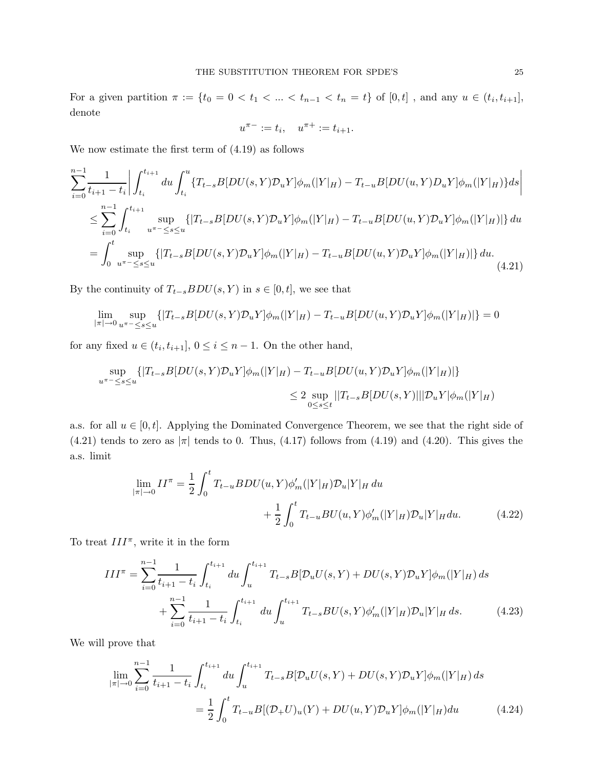For a given partition  $\pi := \{t_0 = 0 < t_1 < ... < t_{n-1} < t_n = t\}$  of  $[0, t]$ , and any  $u \in (t_i, t_{i+1}],$ denote

$$
u^{\pi -} := t_i, \quad u^{\pi +} := t_{i+1}.
$$

We now estimate the first term of (4.19) as follows

$$
\sum_{i=0}^{n-1} \frac{1}{t_{i+1} - t_i} \Big| \int_{t_i}^{t_{i+1}} du \int_{t_i}^u \{T_{t-s}B[DU(s, Y)\mathcal{D}_uY]\phi_m(|Y|_H) - T_{t-u}B[DU(u, Y)\mathcal{D}_uY]\phi_m(|Y|_H)\} ds \Big|
$$
  
\n
$$
\leq \sum_{i=0}^{n-1} \int_{t_i}^{t_{i+1}} \sup_{u^{m-1} \leq s \leq u} \{ |T_{t-s}B[DU(s, Y)\mathcal{D}_uY]\phi_m(|Y|_H) - T_{t-u}B[DU(u, Y)\mathcal{D}_uY]\phi_m(|Y|_H) | \} du
$$
  
\n
$$
= \int_0^t \sup_{u^{m-1} \leq s \leq u} \{ |T_{t-s}B[DU(s, Y)\mathcal{D}_uY]\phi_m(|Y|_H) - T_{t-u}B[DU(u, Y)\mathcal{D}_uY]\phi_m(|Y|_H) | \} du.
$$
\n(4.21)

By the continuity of  $T_{t-s}BDU(s, Y)$  in  $s \in [0, t]$ , we see that

$$
\lim_{|\pi| \to 0} \sup_{u^{\pi - \le s \le u}} \{ |T_{t-s}B[DU(s,Y)\mathcal{D}_uY] \phi_m(|Y|_H) - T_{t-u}B[DU(u,Y)\mathcal{D}_uY] \phi_m(|Y|_H) | \} = 0
$$

for any fixed  $u \in (t_i, t_{i+1}], 0 \le i \le n-1$ . On the other hand,

$$
\sup_{u^{\pi - \leq s \leq u}} \{ |T_{t-s}B[DU(s,Y)\mathcal{D}_uY]\phi_m(|Y|_H) - T_{t-u}B[DU(u,Y)\mathcal{D}_uY]\phi_m(|Y|_H) | \}
$$
  

$$
\leq 2 \sup_{0 \leq s \leq t} ||T_{t-s}B[DU(s,Y)||] \mathcal{D}_uY|\phi_m(|Y|_H)
$$

a.s. for all  $u \in [0, t]$ . Applying the Dominated Convergence Theorem, we see that the right side of  $(4.21)$  tends to zero as  $|\pi|$  tends to 0. Thus,  $(4.17)$  follows from  $(4.19)$  and  $(4.20)$ . This gives the a.s. limit

$$
\lim_{|\pi| \to 0} II^{\pi} = \frac{1}{2} \int_0^t T_{t-u} BDU(u, Y) \phi_m'(|Y|_H) \mathcal{D}_u |Y|_H du + \frac{1}{2} \int_0^t T_{t-u} BU(u, Y) \phi_m'(|Y|_H) \mathcal{D}_u |Y|_H du.
$$
 (4.22)

To treat  $III^{\pi}$ , write it in the form

$$
III^{\pi} = \sum_{i=0}^{n-1} \frac{1}{t_{i+1} - t_i} \int_{t_i}^{t_{i+1}} du \int_{u}^{t_{i+1}} T_{t-s} B[\mathcal{D}_u U(s, Y) + DU(s, Y) \mathcal{D}_u Y] \phi_m(|Y|_H) ds
$$
  
+ 
$$
\sum_{i=0}^{n-1} \frac{1}{t_{i+1} - t_i} \int_{t_i}^{t_{i+1}} du \int_{u}^{t_{i+1}} T_{t-s} BU(s, Y) \phi_m'(|Y|_H) \mathcal{D}_u |Y|_H ds.
$$
 (4.23)

We will prove that

$$
\lim_{|\pi| \to 0} \sum_{i=0}^{n-1} \frac{1}{t_{i+1} - t_i} \int_{t_i}^{t_{i+1}} du \int_{u}^{t_{i+1}} T_{t-s} B[\mathcal{D}_u U(s, Y) + DU(s, Y) \mathcal{D}_u Y] \phi_m(|Y|_H) ds
$$
  
= 
$$
\frac{1}{2} \int_0^t T_{t-u} B[(\mathcal{D}_+ U)_u(Y) + DU(u, Y) \mathcal{D}_u Y] \phi_m(|Y|_H) du
$$
(4.24)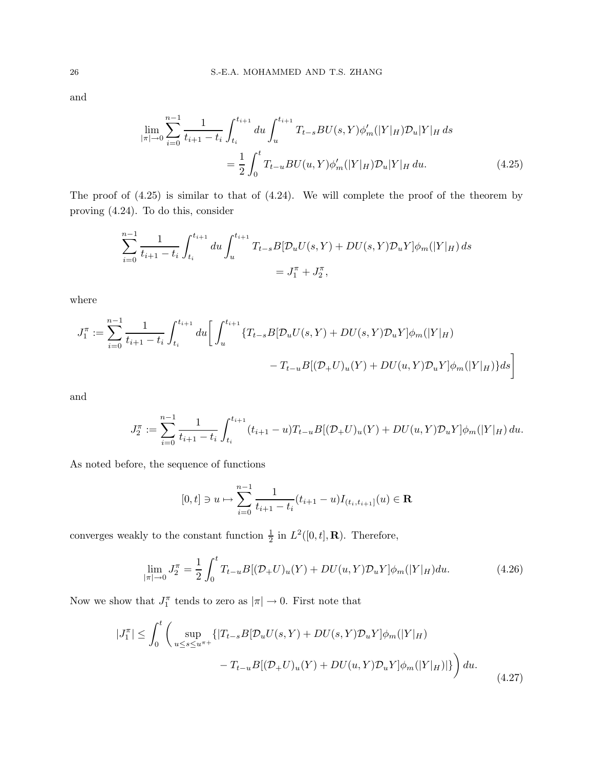and

$$
\lim_{|\pi| \to 0} \sum_{i=0}^{n-1} \frac{1}{t_{i+1} - t_i} \int_{t_i}^{t_{i+1}} du \int_{u}^{t_{i+1}} T_{t-s} BU(s, Y) \phi_m'(|Y|_H) \mathcal{D}_u |Y|_H ds
$$

$$
= \frac{1}{2} \int_0^t T_{t-u} BU(u, Y) \phi_m'(|Y|_H) \mathcal{D}_u |Y|_H du.
$$
(4.25)

The proof of (4.25) is similar to that of (4.24). We will complete the proof of the theorem by proving (4.24). To do this, consider

$$
\sum_{i=0}^{n-1} \frac{1}{t_{i+1} - t_i} \int_{t_i}^{t_{i+1}} du \int_{u}^{t_{i+1}} T_{t-s} B[\mathcal{D}_u U(s, Y) + DU(s, Y)\mathcal{D}_u Y]\phi_m(|Y|_H) ds
$$
  
=  $J_1^{\pi} + J_2^{\pi}$ ,

where

$$
J_1^{\pi} := \sum_{i=0}^{n-1} \frac{1}{t_{i+1} - t_i} \int_{t_i}^{t_{i+1}} du \left[ \int_u^{t_{i+1}} \{T_{t-s}B[\mathcal{D}_u U(s, Y) + DU(s, Y)\mathcal{D}_u Y]\phi_m(|Y|_H) - T_{t-u}B[(\mathcal{D}_+ U)_u(Y) + DU(u, Y)\mathcal{D}_u Y]\phi_m(|Y|_H) \} ds \right]
$$

and

$$
J_2^{\pi} := \sum_{i=0}^{n-1} \frac{1}{t_{i+1} - t_i} \int_{t_i}^{t_{i+1}} (t_{i+1} - u) T_{t-u} B[(\mathcal{D}_+ U)_u(Y) + DU(u, Y)\mathcal{D}_u Y]\phi_m(|Y|_H) du.
$$

As noted before, the sequence of functions

$$
[0,t] \ni u \mapsto \sum_{i=0}^{n-1} \frac{1}{t_{i+1} - t_i} (t_{i+1} - u) I_{(t_i,t_{i+1}]}(u) \in \mathbf{R}
$$

converges weakly to the constant function  $\frac{1}{2}$  in  $L^2([0,t],\mathbf{R})$ . Therefore,

$$
\lim_{|\pi| \to 0} J_2^{\pi} = \frac{1}{2} \int_0^t T_{t-u} B[(\mathcal{D}_+ U)_u(Y) + DU(u, Y)\mathcal{D}_u Y]\phi_m(|Y|_H) du.
$$
\n(4.26)

Now we show that  $J_1^{\pi}$  tends to zero as  $|\pi| \to 0$ . First note that

$$
|J_1^{\pi}| \leq \int_0^t \left( \sup_{u \leq s \leq u^{\pi+}} \{ |T_{t-s}B[\mathcal{D}_u U(s, Y) + DU(s, Y)\mathcal{D}_u Y]\phi_m(|Y|_H) - T_{t-u}B[(\mathcal{D}_+ U)_u(Y) + DU(u, Y)\mathcal{D}_u Y]\phi_m(|Y|_H) | \} \right) du.
$$
\n(4.27)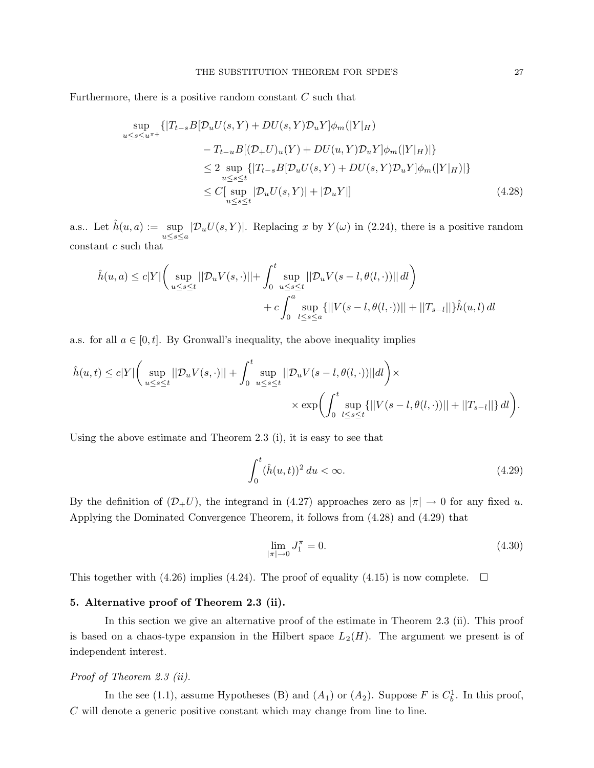Furthermore, there is a positive random constant  $C$  such that

$$
\sup_{u \leq s \leq u^{\pi+}} \left\{ |T_{t-s}B[\mathcal{D}_u U(s, Y) + DU(s, Y)\mathcal{D}_u Y]\phi_m(|Y|_H) \right\}
$$
  

$$
-T_{t-u}B[(\mathcal{D}_+ U)_u(Y) + DU(u, Y)\mathcal{D}_u Y]\phi_m(|Y|_H)| \right\}
$$
  

$$
\leq 2 \sup_{u \leq s \leq t} \left\{ |T_{t-s}B[\mathcal{D}_u U(s, Y) + DU(s, Y)\mathcal{D}_u Y]\phi_m(|Y|_H)| \right\}
$$
  

$$
\leq C[\sup_{u \leq s \leq t} |\mathcal{D}_u U(s, Y)| + |\mathcal{D}_u Y|] \tag{4.28}
$$

a.s.. Let  $\hat{h}(u, a) := \sup$  $\sup_{u\leq s\leq a}|\mathcal{D}_uU(s,Y)|$ . Replacing x by  $Y(\omega)$  in (2.24), there is a positive random constant c such that

$$
\hat{h}(u, a) \le c|Y| \left( \sup_{u \le s \le t} ||\mathcal{D}_u V(s, \cdot)|| + \int_0^t \sup_{u \le s \le t} ||\mathcal{D}_u V(s - l, \theta(l, \cdot))|| \, dl \right) \n+ c \int_0^a \sup_{l \le s \le a} \{ ||V(s - l, \theta(l, \cdot))|| + ||T_{s-l}|| \} \hat{h}(u, l) \, dl
$$

a.s. for all  $a \in [0, t]$ . By Gronwall's inequality, the above inequality implies

$$
\hat{h}(u,t) \leq c|Y| \bigg(\sup_{u \leq s \leq t} ||\mathcal{D}_u V(s,\cdot)|| + \int_0^t \sup_{u \leq s \leq t} ||\mathcal{D}_u V(s-l,\theta(l,\cdot))|| dl\bigg) \times \times \exp\biggl(\int_0^t \sup_{l \leq s \leq t} \{||V(s-l,\theta(l,\cdot))|| + ||T_{s-l}||\} dl\biggr).
$$

Using the above estimate and Theorem 2.3 (i), it is easy to see that

$$
\int_0^t (\hat{h}(u,t))^2 du < \infty.
$$
\n(4.29)

By the definition of  $(\mathcal{D}_+U)$ , the integrand in (4.27) approaches zero as  $|\pi| \to 0$  for any fixed u. Applying the Dominated Convergence Theorem, it follows from (4.28) and (4.29) that

$$
\lim_{|\pi| \to 0} J_1^{\pi} = 0. \tag{4.30}
$$

This together with (4.26) implies (4.24). The proof of equality (4.15) is now complete.  $\Box$ 

#### 5. Alternative proof of Theorem 2.3 (ii).

In this section we give an alternative proof of the estimate in Theorem 2.3 (ii). This proof is based on a chaos-type expansion in the Hilbert space  $L_2(H)$ . The argument we present is of independent interest.

#### Proof of Theorem 2.3 (ii).

In the see (1.1), assume Hypotheses (B) and  $(A_1)$  or  $(A_2)$ . Suppose F is  $C_b^1$ . In this proof, C will denote a generic positive constant which may change from line to line.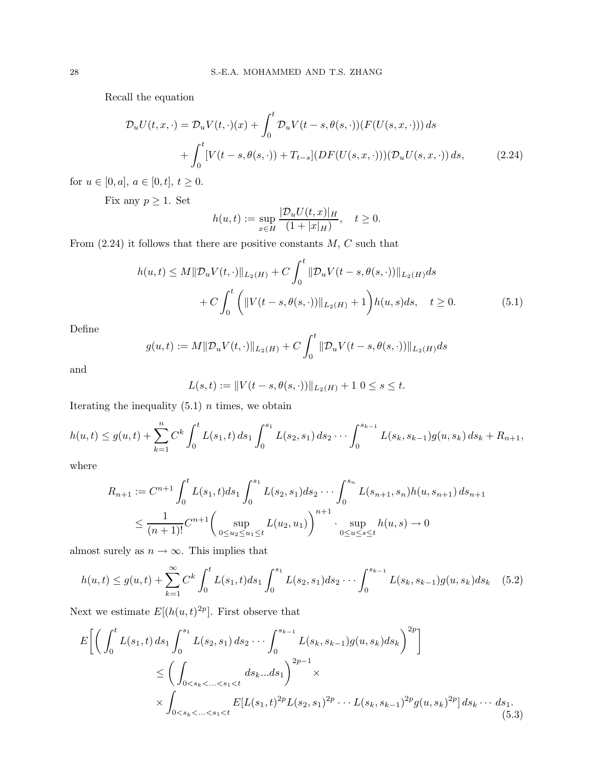Recall the equation

$$
\mathcal{D}_{u}U(t,x,\cdot) = \mathcal{D}_{u}V(t,\cdot)(x) + \int_{0}^{t} \mathcal{D}_{u}V(t-s,\theta(s,\cdot))(F(U(s,x,\cdot))) ds + \int_{0}^{t} [V(t-s,\theta(s,\cdot)) + T_{t-s}] (DF(U(s,x,\cdot)))(\mathcal{D}_{u}U(s,x,\cdot)) ds,
$$
(2.24)

for  $u \in [0, a], a \in [0, t], t \ge 0.$ 

Fix any  $p \geq 1$ . Set

$$
h(u,t) := \sup_{x \in H} \frac{|\mathcal{D}_u U(t,x)|_H}{(1+|x|_H)}, \quad t \ge 0.
$$

From  $(2.24)$  it follows that there are positive constants  $M, C$  such that

$$
h(u,t) \le M \|\mathcal{D}_u V(t, \cdot)\|_{L_2(H)} + C \int_0^t \|\mathcal{D}_u V(t-s, \theta(s, \cdot))\|_{L_2(H)} ds
$$
  
+ 
$$
C \int_0^t \left( \|V(t-s, \theta(s, \cdot))\|_{L_2(H)} + 1 \right) h(u,s) ds, \quad t \ge 0.
$$
 (5.1)

Define

$$
g(u,t) := M ||\mathcal{D}_u V(t, \cdot)||_{L_2(H)} + C \int_0^t ||\mathcal{D}_u V(t-s, \theta(s, \cdot))||_{L_2(H)} ds
$$

and

$$
L(s,t) := ||V(t-s,\theta(s,\cdot))||_{L_2(H)} + 1 \ 0 \le s \le t.
$$

Iterating the inequality  $(5.1)$  *n* times, we obtain

$$
h(u,t) \le g(u,t) + \sum_{k=1}^n C^k \int_0^t L(s_1,t) \, ds_1 \int_0^{s_1} L(s_2,s_1) \, ds_2 \cdots \int_0^{s_{k-1}} L(s_k,s_{k-1}) g(u,s_k) \, ds_k + R_{n+1},
$$

where

$$
R_{n+1} := C^{n+1} \int_0^t L(s_1, t) ds_1 \int_0^{s_1} L(s_2, s_1) ds_2 \cdots \int_0^{s_n} L(s_{n+1}, s_n) h(u, s_{n+1}) ds_{n+1}
$$
  

$$
\leq \frac{1}{(n+1)!} C^{n+1} \left( \sup_{0 \leq u_2 \leq u_1 \leq t} L(u_2, u_1) \right)^{n+1} \cdot \sup_{0 \leq u \leq s \leq t} h(u, s) \to 0
$$

almost surely as  $n \to \infty$ . This implies that

$$
h(u,t) \le g(u,t) + \sum_{k=1}^{\infty} C^k \int_0^t L(s_1,t)ds_1 \int_0^{s_1} L(s_2,s_1)ds_2 \cdots \int_0^{s_{k-1}} L(s_k,s_{k-1})g(u,s_k)ds_k \quad (5.2)
$$

Next we estimate  $E[(h(u,t)^{2p})]$ . First observe that

$$
E\left[\left(\int_{0}^{t} L(s_{1}, t) ds_{1} \int_{0}^{s_{1}} L(s_{2}, s_{1}) ds_{2} \cdots \int_{0}^{s_{k-1}} L(s_{k}, s_{k-1}) g(u, s_{k}) ds_{k}\right)^{2p}\right]
$$
  
\n
$$
\leq \left(\int_{0 < s_{k} < ... < s_{1} < t} ds_{k}...ds_{1}\right)^{2p-1} \times
$$
  
\n
$$
\times \int_{0 < s_{k} < ... < s_{1} < t} E[L(s_{1}, t)^{2p} L(s_{2}, s_{1})^{2p} ... L(s_{k}, s_{k-1})^{2p} g(u, s_{k})^{2p}] ds_{k} ... ds_{1}.
$$
\n(5.3)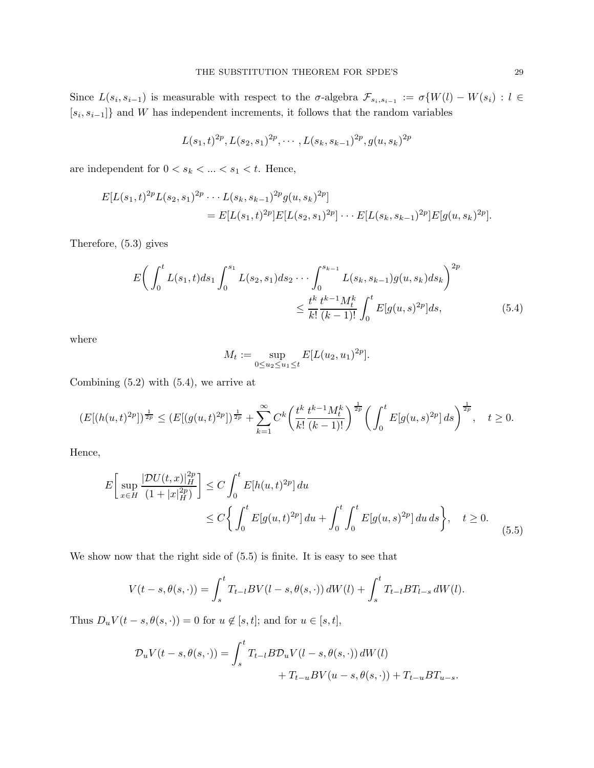Since  $L(s_i, s_{i-1})$  is measurable with respect to the  $\sigma$ -algebra  $\mathcal{F}_{s_i,s_{i-1}} := \sigma\{W(l) - W(s_i) : l \in$  $[s_i, s_{i-1}]$  and W has independent increments, it follows that the random variables

$$
L(s_1,t)^{2p}, L(s_2,s_1)^{2p}, \cdots, L(s_k,s_{k-1})^{2p}, g(u,s_k)^{2p}
$$

are independent for  $0 < s_k < \ldots < s_1 < t.$  Hence,

$$
E[L(s_1,t)^{2p}L(s_2,s_1)^{2p}\cdots L(s_k,s_{k-1})^{2p}g(u,s_k)^{2p}]
$$
  
= 
$$
E[L(s_1,t)^{2p}]E[L(s_2,s_1)^{2p}]\cdots E[L(s_k,s_{k-1})^{2p}]E[g(u,s_k)^{2p}].
$$

Therefore, (5.3) gives

$$
E\left(\int_0^t L(s_1, t)ds_1 \int_0^{s_1} L(s_2, s_1)ds_2 \cdots \int_0^{s_{k-1}} L(s_k, s_{k-1})g(u, s_k)ds_k\right)^{2p}
$$
  

$$
\leq \frac{t^k}{k!} \frac{t^{k-1}M_t^k}{(k-1)!} \int_0^t E[g(u, s)^{2p}]ds,
$$
 (5.4)

where

$$
M_t := \sup_{0 \le u_2 \le u_1 \le t} E[L(u_2, u_1)^{2p}].
$$

Combining  $(5.2)$  with  $(5.4)$ , we arrive at

$$
(E[(h(u,t)^{2p}])^{\frac{1}{2p}} \le (E[(g(u,t)^{2p}])^{\frac{1}{2p}} + \sum_{k=1}^{\infty} C^k \left(\frac{t^k}{k!} \frac{t^{k-1} M_t^k}{(k-1)!}\right)^{\frac{1}{2p}} \left(\int_0^t E[g(u,s)^{2p}] ds\right)^{\frac{1}{2p}}, \quad t \ge 0.
$$

Hence,

$$
E\left[\sup_{x\in H} \frac{|\mathcal{D}U(t,x)|_H^{2p}}{(1+|x|_H^{2p})}\right] \le C \int_0^t E[h(u,t)^{2p}] du
$$
  
 
$$
\le C \left\{ \int_0^t E[g(u,t)^{2p}] du + \int_0^t \int_0^t E[g(u,s)^{2p}] du ds \right\}, \quad t \ge 0.
$$
 (5.5)

We show now that the right side of (5.5) is finite. It is easy to see that

$$
V(t - s, \theta(s, \cdot)) = \int_{s}^{t} T_{t-l} BV(l - s, \theta(s, \cdot)) dW(l) + \int_{s}^{t} T_{t-l} BT_{l-s} dW(l).
$$

Thus  $D_u V(t - s, \theta(s, \cdot)) = 0$  for  $u \notin [s, t]$ ; and for  $u \in [s, t]$ ,

$$
\mathcal{D}_u V(t-s,\theta(s,\cdot)) = \int_s^t T_{t-l} B \mathcal{D}_u V(l-s,\theta(s,\cdot)) dW(l)
$$
  
+ 
$$
T_{t-u} BV(u-s,\theta(s,\cdot)) + T_{t-u} BT_{u-s}.
$$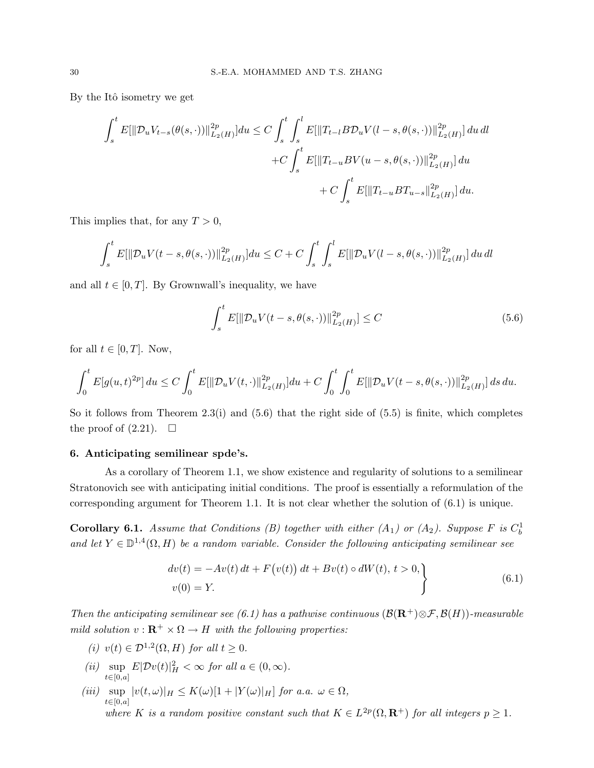By the Itô isometry we get

$$
\int_{s}^{t} E[\|\mathcal{D}_{u}V_{t-s}(\theta(s,\cdot))\|_{L_{2}(H)}^{2p}]du \leq C \int_{s}^{t} \int_{s}^{l} E[\|T_{t-l}B\mathcal{D}_{u}V(l-s,\theta(s,\cdot))\|_{L_{2}(H)}^{2p}]du dl
$$
  
+
$$
+ C \int_{s}^{t} E[\|T_{t-u}BV(u-s,\theta(s,\cdot))\|_{L_{2}(H)}^{2p}]du
$$
  
+
$$
+ C \int_{s}^{t} E[\|T_{t-u}BT_{u-s}\|_{L_{2}(H)}^{2p}]du.
$$

This implies that, for any  $T > 0$ ,

$$
\int_{s}^{t} E[||\mathcal{D}_{u}V(t-s, \theta(s, \cdot))||^{2p}_{L_{2}(H)}]du \leq C + C \int_{s}^{t} \int_{s}^{l} E[||\mathcal{D}_{u}V(l-s, \theta(s, \cdot))||^{2p}_{L_{2}(H)}] du dl
$$

and all  $t \in [0, T]$ . By Grownwall's inequality, we have

$$
\int_{s}^{t} E[||\mathcal{D}_{u}V(t-s, \theta(s, \cdot))||_{L_{2}(H)}^{2p}] \leq C
$$
\n(5.6)

for all  $t \in [0, T]$ . Now,

$$
\int_0^t E[g(u,t)^{2p}] du \le C \int_0^t E[\|\mathcal{D}_u V(t,\cdot)\|_{L_2(H)}^{2p}] du + C \int_0^t \int_0^t E[\|\mathcal{D}_u V(t-s,\theta(s,\cdot))\|_{L_2(H)}^{2p}] ds du.
$$

So it follows from Theorem 2.3(i) and  $(5.6)$  that the right side of  $(5.5)$  is finite, which completes the proof of  $(2.21)$ .  $\Box$ 

#### 6. Anticipating semilinear spde's.

As a corollary of Theorem 1.1, we show existence and regularity of solutions to a semilinear Stratonovich see with anticipating initial conditions. The proof is essentially a reformulation of the corresponding argument for Theorem 1.1. It is not clear whether the solution of (6.1) is unique.

**Corollary 6.1.** Assume that Conditions (B) together with either  $(A_1)$  or  $(A_2)$ . Suppose F is  $C_b^1$ and let  $Y \in \mathbb{D}^{1,4}(\Omega, H)$  be a random variable. Consider the following anticipating semilinear see

$$
\begin{aligned}\ndv(t) &= -Av(t) \, dt + F\big(v(t)\big) \, dt + Bv(t) \circ dW(t), \, t > 0, \\
v(0) &= Y.\n\end{aligned}\n\tag{6.1}
$$

Then the anticipating semilinear see (6.1) has a pathwise continuous  $(\mathcal{B}(\mathbf{R}^+)\otimes\mathcal{F},\mathcal{B}(H))$ -measurable mild solution  $v : \mathbf{R}^+ \times \Omega \to H$  with the following properties:

- (i)  $v(t) \in \mathcal{D}^{1,2}(\Omega, H)$  for all  $t \geq 0$ .
- (*ii*)  $\sup E|\mathcal{D}v(t)|_H^2 < \infty$  for all  $a \in (0, \infty)$ .  $t{\in}[\hat{0,a}]$
- (iii)  $\sup |v(t,\omega)|_H \leq K(\omega)[1+|Y(\omega)|_H]$  for a.a.  $\omega \in \Omega$ ,  $t \in [0,a]$ where K is a random positive constant such that  $K \in L^{2p}(\Omega, \mathbf{R}^+)$  for all integers  $p \geq 1$ .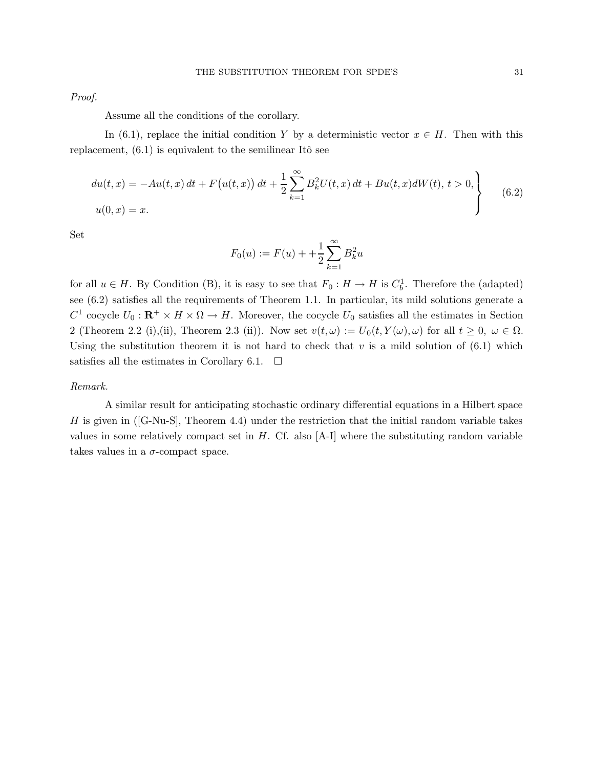Proof.

Assume all the conditions of the corollary.

In (6.1), replace the initial condition Y by a deterministic vector  $x \in H$ . Then with this replacement,  $(6.1)$  is equivalent to the semilinear Itô see

$$
du(t,x) = -Au(t,x) dt + F(u(t,x)) dt + \frac{1}{2} \sum_{k=1}^{\infty} B_k^2 U(t,x) dt + Bu(t,x)dW(t), t > 0,
$$
  

$$
u(0,x) = x.
$$
 (6.2)

Set

$$
F_0(u) := F(u) + \frac{1}{2} \sum_{k=1}^{\infty} B_k^2 u
$$

for all  $u \in H$ . By Condition (B), it is easy to see that  $F_0: H \to H$  is  $C_b^1$ . Therefore the (adapted) see (6.2) satisfies all the requirements of Theorem 1.1. In particular, its mild solutions generate a  $C^1$  cocycle  $U_0: \mathbf{R}^+ \times H \times \Omega \to H$ . Moreover, the cocycle  $U_0$  satisfies all the estimates in Section 2 (Theorem 2.2 (i),(ii), Theorem 2.3 (ii)). Now set  $v(t,\omega) := U_0(t,Y(\omega),\omega)$  for all  $t \geq 0, \ \omega \in \Omega$ . Using the substitution theorem it is not hard to check that  $v$  is a mild solution of  $(6.1)$  which satisfies all the estimates in Corollary 6.1.  $\Box$ 

#### Remark.

A similar result for anticipating stochastic ordinary differential equations in a Hilbert space H is given in  $([G-Nu-S],$  Theorem 4.4) under the restriction that the initial random variable takes values in some relatively compact set in  $H$ . Cf. also  $[A-I]$  where the substituting random variable takes values in a  $\sigma$ -compact space.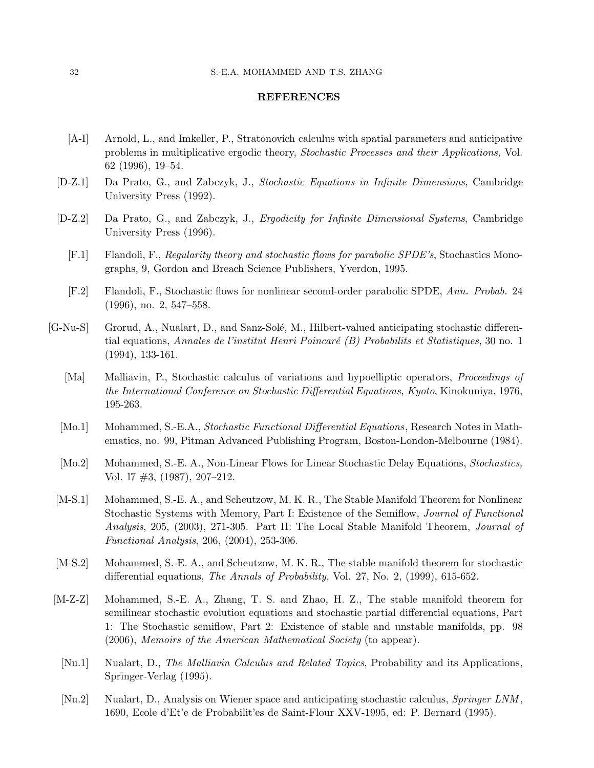#### REFERENCES

- [A-I] Arnold, L., and Imkeller, P., Stratonovich calculus with spatial parameters and anticipative problems in multiplicative ergodic theory, Stochastic Processes and their Applications, Vol. 62 (1996), 19–54.
- [D-Z.1] Da Prato, G., and Zabczyk, J., Stochastic Equations in Infinite Dimensions, Cambridge University Press (1992).
- [D-Z.2] Da Prato, G., and Zabczyk, J., Ergodicity for Infinite Dimensional Systems, Cambridge University Press (1996).
	- [F.1] Flandoli, F., Regularity theory and stochastic flows for parabolic SPDE's, Stochastics Monographs, 9, Gordon and Breach Science Publishers, Yverdon, 1995.
	- [F.2] Flandoli, F., Stochastic flows for nonlinear second-order parabolic SPDE, Ann. Probab. 24 (1996), no. 2, 547–558.
- [G-Nu-S] Grorud, A., Nualart, D., and Sanz-Solé, M., Hilbert-valued anticipating stochastic differential equations, Annales de l'institut Henri Poincaré (B) Probabilits et Statistiques, 30 no. 1 (1994), 133-161.
	- [Ma] Malliavin, P., Stochastic calculus of variations and hypoelliptic operators, *Proceedings of* the International Conference on Stochastic Differential Equations, Kyoto, Kinokuniya, 1976, 195-263.
	- [Mo.1] Mohammed, S.-E.A., *Stochastic Functional Differential Equations*, Research Notes in Mathematics, no. 99, Pitman Advanced Publishing Program, Boston-London-Melbourne (1984).
	- [Mo.2] Mohammed, S.-E. A., Non-Linear Flows for Linear Stochastic Delay Equations, Stochastics, Vol. l7 #3, (1987), 207–212.
	- [M-S.1] Mohammed, S.-E. A., and Scheutzow, M. K. R., The Stable Manifold Theorem for Nonlinear Stochastic Systems with Memory, Part I: Existence of the Semiflow, Journal of Functional Analysis, 205, (2003), 271-305. Part II: The Local Stable Manifold Theorem, Journal of Functional Analysis, 206, (2004), 253-306.
	- [M-S.2] Mohammed, S.-E. A., and Scheutzow, M. K. R., The stable manifold theorem for stochastic differential equations, The Annals of Probability, Vol. 27, No. 2, (1999), 615-652.
- [M-Z-Z] Mohammed, S.-E. A., Zhang, T. S. and Zhao, H. Z., The stable manifold theorem for semilinear stochastic evolution equations and stochastic partial differential equations, Part 1: The Stochastic semiflow, Part 2: Existence of stable and unstable manifolds, pp. 98 (2006), Memoirs of the American Mathematical Society (to appear).
	- [Nu.1] Nualart, D., The Malliavin Calculus and Related Topics, Probability and its Applications, Springer-Verlag (1995).
	- [Nu.2] Nualart, D., Analysis on Wiener space and anticipating stochastic calculus, Springer LNM, 1690, Ecole d'Et'e de Probabilit'es de Saint-Flour XXV-1995, ed: P. Bernard (1995).